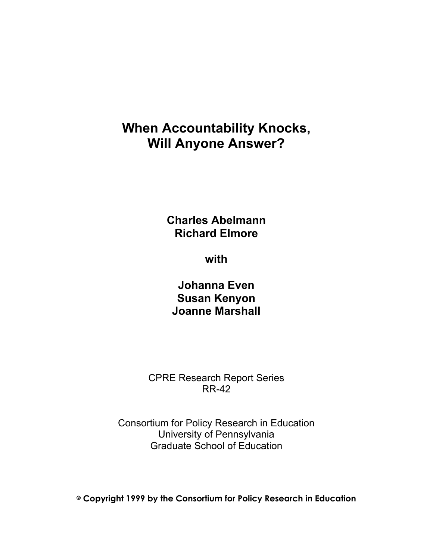# **When Accountability Knocks, Will Anyone Answer?**

**Charles Abelmann Richard Elmore** 

**with** 

**Johanna Even Susan Kenyon Joanne Marshall** 

CPRE Research Report Series RR-42

Consortium for Policy Research in Education University of Pennsylvania Graduate School of Education

8 **Copyright 1999 by the Consortium for Policy Research in Education**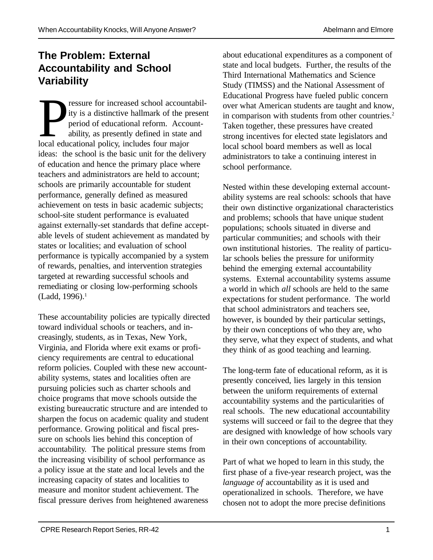## **The Problem: External Accountability and School Variability**

The same for increased school accountity is a distinctive hallmark of the p period of educational reform. Accounting a persently defined in state local educational policy, includes four major ressure for increased school accountability is a distinctive hallmark of the present period of educational reform. Accountability, as presently defined in state and ideas: the school is the basic unit for the delivery of education and hence the primary place where teachers and administrators are held to account; schools are primarily accountable for student performance, generally defined as measured achievement on tests in basic academic subjects; school-site student performance is evaluated against externally-set standards that define acceptable levels of student achievement as mandated by states or localities; and evaluation of school performance is typically accompanied by a system of rewards, penalties, and intervention strategies targeted at rewarding successful schools and remediating or closing low-performing schools  $(Ladd, 1996).$ <sup>1</sup>

These accountability policies are typically directed toward individual schools or teachers, and increasingly, students, as in Texas, New York, Virginia, and Florida where exit exams or proficiency requirements are central to educational reform policies. Coupled with these new accountability systems, states and localities often are pursuing policies such as charter schools and choice programs that move schools outside the existing bureaucratic structure and are intended to sharpen the focus on academic quality and student performance. Growing political and fiscal pressure on schools lies behind this conception of accountability. The political pressure stems from the increasing visibility of school performance as a policy issue at the state and local levels and the increasing capacity of states and localities to measure and monitor student achievement. The fiscal pressure derives from heightened awareness

about educational expenditures as a component of state and local budgets. Further, the results of the Third International Mathematics and Science Study (TIMSS) and the National Assessment of Educational Progress have fueled public concern over what American students are taught and know, in comparison with students from other countries.<sup>2</sup> Taken together, these pressures have created strong incentives for elected state legislators and local school board members as well as local administrators to take a continuing interest in school performance.

Nested within these developing external accountability systems are real schools: schools that have their own distinctive organizational characteristics and problems; schools that have unique student populations; schools situated in diverse and particular communities; and schools with their own institutional histories. The reality of particular schools belies the pressure for uniformity behind the emerging external accountability systems. External accountability systems assume a world in which *all* schools are held to the same expectations for student performance. The world that school administrators and teachers see, however, is bounded by their particular settings, by their own conceptions of who they are, who they serve, what they expect of students, and what they think of as good teaching and learning.

The long-term fate of educational reform, as it is presently conceived, lies largely in this tension between the uniform requirements of external accountability systems and the particularities of real schools. The new educational accountability systems will succeed or fail to the degree that they are designed with knowledge of how schools vary in their own conceptions of accountability.

Part of what we hoped to learn in this study, the first phase of a five-year research project, was the *language of* accountability as it is used and operationalized in schools. Therefore, we have chosen not to adopt the more precise definitions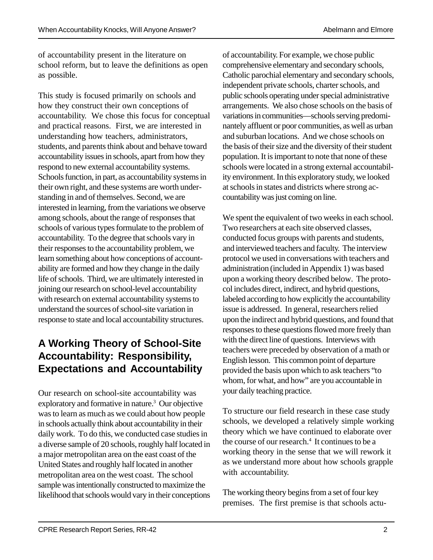of accountability present in the literature on school reform, but to leave the definitions as open as possible.

This study is focused primarily on schools and how they construct their own conceptions of accountability. We chose this focus for conceptual and practical reasons. First, we are interested in understanding how teachers, administrators, students, and parents think about and behave toward accountability issues in schools, apart from how they respond to new external accountability systems. Schools function, in part, as accountability systems in their own right, and these systems are worth understanding in and of themselves. Second, we are interested in learning, from the variations we observe among schools, about the range of responses that schools of various types formulate to the problem of accountability. To the degree that schools vary in their responses to the accountability problem, we learn something about how conceptions of accountability are formed and how they change in the daily life of schools. Third, we are ultimately interested in joining our research on school-level accountability with research on external accountability systems to understand the sources of school-site variation in response to state and local accountability structures.

## **A Working Theory of School-Site Accountability: Responsibility, Expectations and Accountability**

Our research on school-site accountability was exploratory and formative in nature.<sup>3</sup> Our objective was to learn as much as we could about how people in schools actually think about accountability in their daily work. To do this, we conducted case studies in a diverse sample of 20 schools, roughly half located in a major metropolitan area on the east coast of the United States and roughly half located in another metropolitan area on the west coast. The school sample was intentionally constructed to maximize the likelihood that schools would vary in their conceptions

of accountability. For example, we chose public comprehensive elementary and secondary schools, Catholic parochial elementary and secondary schools, independent private schools, charter schools, and public schools operating under special administrative arrangements. We also chose schools on the basis of variations in communities— schools serving predominantely affluent or poor communities, as well as urban and suburban locations. And we chose schools on the basis of their size and the diversity of their student population. It is important to note that none of these schools were located in a strong external accountability environment. In this exploratory study, we looked at schools in states and districts where strong accountability was just coming on line.

We spent the equivalent of two weeks in each school. Two researchers at each site observed classes, conducted focus groups with parents and students, and interviewed teachers and faculty. The interview protocol we used in conversations with teachers and administration (included in Appendix 1) was based upon a working theory described below. The protocol includes direct, indirect, and hybrid questions, labeled according to how explicitly the accountability issue is addressed. In general, researchers relied upon the indirect and hybrid questions, and found that responses to these questions flowed more freely than with the direct line of questions. Interviews with teachers were preceded by observation of a math or English lesson. This common point of departure provided the basis upon which to ask teachers "to whom, for what, and how" are you accountable in your daily teaching practice.

To structure our field research in these case study schools, we developed a relatively simple working theory which we have continued to elaborate over the course of our research.<sup>4</sup> It continues to be a working theory in the sense that we will rework it as we understand more about how schools grapple with accountability.

The working theory begins from a set of four key premises. The first premise is that schools actu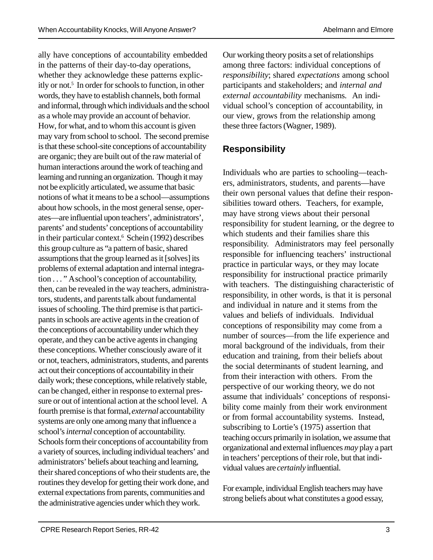ally have conceptions of accountability embedded in the patterns of their day-to-day operations, whether they acknowledge these patterns explicitly or not.<sup>5</sup> In order for schools to function, in other words, they have to establish channels, both formal and informal, through which individuals and the school as a whole may provide an account of behavior. How, for what, and to whom this account is given may vary from school to school. The second premise is that these school-site conceptions of accountability are organic; they are built out of the raw material of human interactions around the work of teaching and learning and running an organization. Though it may not be explicitly articulated, we assume that basic notions of what it means to be a school— assumptions about how schools, in the most general sense, operates— are influential upon teachers', administrators', parents' and students' conceptions of accountability in their particular context.<sup>6</sup> Schein (1992) describes this group culture as "a pattern of basic, shared assumptions that the group learned as it [solves] its problems of external adaptation and internal integration . . . " A school's conception of accountability, then, can be revealed in the way teachers, administrators, students, and parents talk about fundamental issues of schooling. The third premise is that participants in schools are active agents in the creation of the conceptions of accountability under which they operate, and they can be active agents in changing these conceptions. Whether consciously aware of it or not, teachers, administrators, students, and parents act out their conceptions of accountability in their daily work; these conceptions, while relatively stable, can be changed, either in response to external pressure or out of intentional action at the school level. A fourth premise is that formal, *external* accountability systems are only one among many that influence a school's *internal* conception of accountability. Schools form their conceptions of accountability from a variety of sources, including individual teachers' and administrators' beliefs about teaching and learning, their shared conceptions of who their students are, the routines they develop for getting their work done, and external expectations from parents, communities and the administrative agencies under which they work.

Our working theory posits a set of relationships among three factors: individual conceptions of *responsibility*; shared *expectations* among school participants and stakeholders; and *internal and external accountability* mechanisms. An individual school's conception of accountability, in our view, grows from the relationship among these three factors (Wagner, 1989).

#### **Responsibility**

Individuals who are parties to schooling— teachers, administrators, students, and parents— have their own personal values that define their responsibilities toward others. Teachers, for example, may have strong views about their personal responsibility for student learning, or the degree to which students and their families share this responsibility. Administrators may feel personally responsible for influencing teachers' instructional practice in particular ways, or they may locate responsibility for instructional practice primarily with teachers. The distinguishing characteristic of responsibility, in other words, is that it is personal and individual in nature and it stems from the values and beliefs of individuals. Individual conceptions of responsibility may come from a number of sources— from the life experience and moral background of the individuals, from their education and training, from their beliefs about the social determinants of student learning, and from their interaction with others. From the perspective of our working theory, we do not assume that individuals' conceptions of responsibility come mainly from their work environment or from formal accountability systems. Instead, subscribing to Lortie's (1975) assertion that teaching occurs primarily in isolation, we assume that organizational and external influences *may* play a part in teachers' perceptions of their role, but that individual values are *certainly* influential.

For example, individual English teachers may have strong beliefs about what constitutes a good essay,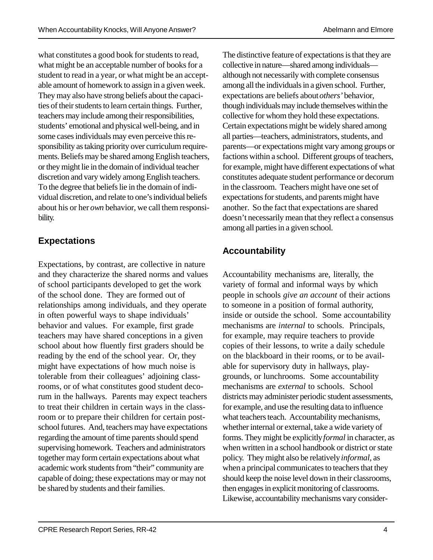what constitutes a good book for students to read, what might be an acceptable number of books for a student to read in a year, or what might be an acceptable amount of homework to assign in a given week. They may also have strong beliefs about the capacities of their students to learn certain things. Further, teachers may include among their responsibilities, students' emotional and physical well-being, and in some cases individuals may even perceive this responsibility as taking priority over curriculum requirements. Beliefs may be shared among English teachers, or they might lie in the domain of individual teacher discretion and vary widely among English teachers. To the degree that beliefs lie in the domain of individual discretion, and relate to one's individual beliefs about his or her *own* behavior, we call them responsibility.

## **Expectations**

Expectations, by contrast, are collective in nature and they characterize the shared norms and values of school participants developed to get the work of the school done. They are formed out of relationships among individuals, and they operate in often powerful ways to shape individuals' behavior and values. For example, first grade teachers may have shared conceptions in a given school about how fluently first graders should be reading by the end of the school year. Or, they might have expectations of how much noise is tolerable from their colleagues' adjoining classrooms, or of what constitutes good student decorum in the hallways. Parents may expect teachers to treat their children in certain ways in the classroom or to prepare their children for certain postschool futures. And, teachers may have expectations regarding the amount of time parents should spend supervising homework. Teachers and administrators together may form certain expectations about what academic work students from "their" community are capable of doing; these expectations may or may not be shared by students and their families.

The distinctive feature of expectations is that they are collective in nature— shared among individuals although not necessarily with complete consensus among all the individuals in a given school. Further, expectations are beliefs about *others'* behavior, though individuals may include themselves within the collective for whom they hold these expectations. Certain expectations might be widely shared among all parties— teachers, administrators, students, and parents— or expectations might vary among groups or factions within a school. Different groups of teachers, for example, might have different expectations of what constitutes adequate student performance or decorum in the classroom. Teachers might have one set of expectations for students, and parents might have another. So the fact that expectations are shared doesn't necessarily mean that they reflect a consensus among all parties in a given school.

## **Accountability**

Accountability mechanisms are, literally, the variety of formal and informal ways by which people in schools *give an account* of their actions to someone in a position of formal authority, inside or outside the school. Some accountability mechanisms are *internal* to schools. Principals, for example, may require teachers to provide copies of their lessons, to write a daily schedule on the blackboard in their rooms, or to be available for supervisory duty in hallways, playgrounds, or lunchrooms. Some accountability mechanisms are *external* to schools. School districts may administer periodic student assessments, for example, and use the resulting data to influence what teachers teach. Accountability mechanisms, whether internal or external, take a wide variety of forms. They might be explicitly *formal* in character, as when written in a school handbook or district or state policy. They might also be relatively *informal*, as when a principal communicates to teachers that they should keep the noise level down in their classrooms, then engages in explicit monitoring of classrooms. Likewise, accountability mechanisms vary consider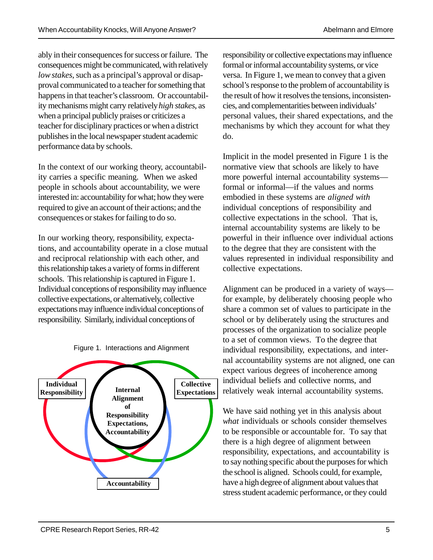ably in their consequences for success or failure. The consequences might be communicated, with relatively *low stakes*, such as a principal's approval or disapproval communicated to a teacher for something that happens in that teacher's classroom. Or accountability mechanisms might carry relatively *high stakes*, as when a principal publicly praises or criticizes a teacher for disciplinary practices or when a district publishes in the local newspaper student academic performance data by schools.

In the context of our working theory, accountability carries a specific meaning. When we asked people in schools about accountability, we were interested in: accountability for what; how they were required to give an account of their actions; and the consequences or stakes for failing to do so.

In our working theory, responsibility, expectations, and accountability operate in a close mutual and reciprocal relationship with each other, and this relationship takes a variety of forms in different schools. This relationship is captured in Figure 1. Individual conceptions of responsibility may influence collective expectations, or alternatively, collective expectations may influence individual conceptions of responsibility. Similarly, individual conceptions of



Figure 1. Interactions and Alignment

responsibility or collective expectations may influence formal or informal accountability systems, or vice versa. In Figure 1, we mean to convey that a given school's response to the problem of accountability is the result of how it resolves the tensions, inconsistencies, and complementarities between individuals' personal values, their shared expectations, and the mechanisms by which they account for what they do.

Implicit in the model presented in Figure 1 is the normative view that schools are likely to have more powerful internal accountability systems formal or informal—if the values and norms embodied in these systems are *aligned with* individual conceptions of responsibility and collective expectations in the school. That is, internal accountability systems are likely to be powerful in their influence over individual actions to the degree that they are consistent with the values represented in individual responsibility and collective expectations.

Alignment can be produced in a variety of ways for example, by deliberately choosing people who share a common set of values to participate in the school or by deliberately using the structures and processes of the organization to socialize people to a set of common views. To the degree that individual responsibility, expectations, and internal accountability systems are not aligned, one can expect various degrees of incoherence among individual beliefs and collective norms, and relatively weak internal accountability systems.

We have said nothing yet in this analysis about *what* individuals or schools consider themselves to be responsible or accountable for. To say that there is a high degree of alignment between responsibility, expectations, and accountability is to say nothing specific about the purposes for which the school is aligned. Schools could, for example, have a high degree of alignment about values that stress student academic performance, or they could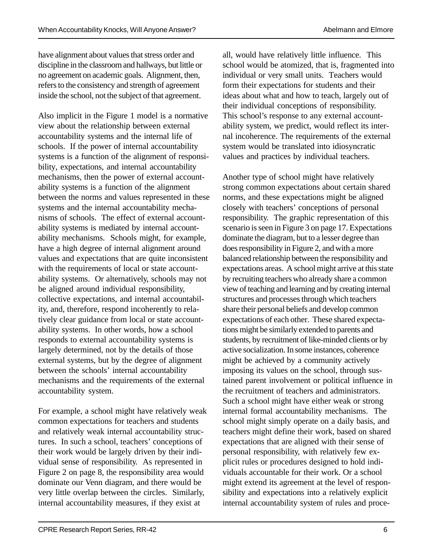have alignment about values that stress order and discipline in the classroom and hallways, but little or no agreement on academic goals. Alignment, then, refers to the consistency and strength of agreement inside the school, not the subject of that agreement.

Also implicit in the Figure 1 model is a normative view about the relationship between external accountability systems and the internal life of schools. If the power of internal accountability systems is a function of the alignment of responsibility, expectations, and internal accountability mechanisms, then the power of external accountability systems is a function of the alignment between the norms and values represented in these systems and the internal accountability mechanisms of schools. The effect of external accountability systems is mediated by internal accountability mechanisms. Schools might, for example, have a high degree of internal alignment around values and expectations that are quite inconsistent with the requirements of local or state accountability systems. Or alternatively, schools may not be aligned around individual responsibility, collective expectations, and internal accountability, and, therefore, respond incoherently to relatively clear guidance from local or state accountability systems. In other words, how a school responds to external accountability systems is largely determined, not by the details of those external systems, but by the degree of alignment between the schools' internal accountability mechanisms and the requirements of the external accountability system.

For example, a school might have relatively weak common expectations for teachers and students and relatively weak internal accountability structures. In such a school, teachers' conceptions of their work would be largely driven by their individual sense of responsibility. As represented in Figure 2 on page 8, the responsibility area would dominate our Venn diagram, and there would be very little overlap between the circles. Similarly, internal accountability measures, if they exist at

all, would have relatively little influence. This school would be atomized, that is, fragmented into individual or very small units. Teachers would form their expectations for students and their ideas about what and how to teach, largely out of their individual conceptions of responsibility. This school's response to any external accountability system, we predict, would reflect its internal incoherence. The requirements of the external system would be translated into idiosyncratic values and practices by individual teachers.

Another type of school might have relatively strong common expectations about certain shared norms, and these expectations might be aligned closely with teachers' conceptions of personal responsibility. The graphic representation of this scenario is seen in Figure 3 on page 17. Expectations dominate the diagram, but to a lesser degree than does responsibility in Figure 2, and with a more balanced relationship between the responsibility and expectations areas. A school might arrive at this state by recruiting teachers who already share a common view of teaching and learning and by creating internal structures and processes through which teachers share their personal beliefs and develop common expectations of each other. These shared expectations might be similarly extended to parents and students, by recruitment of like-minded clients or by active socialization. In some instances, coherence might be achieved by a community actively imposing its values on the school, through sustained parent involvement or political influence in the recruitment of teachers and administrators. Such a school might have either weak or strong internal formal accountability mechanisms. The school might simply operate on a daily basis, and teachers might define their work, based on shared expectations that are aligned with their sense of personal responsibility, with relatively few explicit rules or procedures designed to hold individuals accountable for their work. Or a school might extend its agreement at the level of responsibility and expectations into a relatively explicit internal accountability system of rules and proce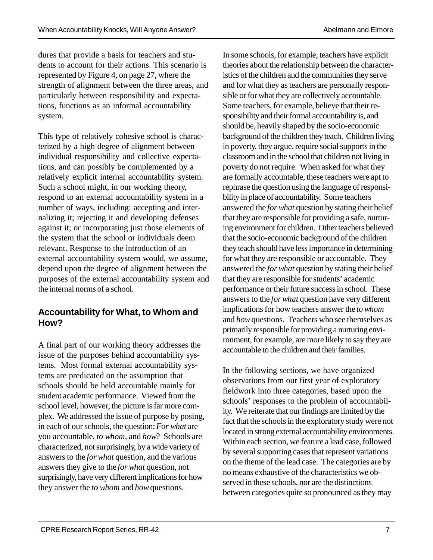dures that provide a basis for teachers and students to account for their actions. This scenario is represented by Figure 4, on page 27, where the strength of alignment between the three areas, and particularly between responsibility and expectations, functions as an informal accountability system.

This type of relatively cohesive school is characterized by a high degree of alignment between individual responsibility and collective expectations, and can possibly be complemented by a relatively explicit internal accountability system. Such a school might, in our working theory, respond to an external accountability system in a number of ways, including: accepting and internalizing it; rejecting it and developing defenses against it; or incorporating just those elements of the system that the school or individuals deem relevant. Response to the introduction of an external accountability system would, we assume, depend upon the degree of alignment between the purposes of the external accountability system and the internal norms of a school.

#### **Accountability for What, to Whom and How?**

A final part of our working theory addresses the issue of the purposes behind accountability systems. Most formal external accountability systems are predicated on the assumption that schools should be held accountable mainly for student academic performance. Viewed from the school level, however, the picture is far more complex. We addressed the issue of purpose by posing, in each of our schools, the question: *For what* are you accountable, *to whom,* and *how*? Schools are characterized, not surprisingly, by a wide variety of answers to the *for what* question, and the various answers they give to the *for what* question, not surprisingly, have very different implications for how they answer the *to whom* and *how* questions.

In some schools, for example, teachers have explicit theories about the relationship between the characteristics of the children and the communities they serve and for what they as teachers are personally responsible or for what they are collectively accountable. Some teachers, for example, believe that their responsibility and their formal accountability is, and should be, heavily shaped by the socio-economic background of the children they teach. Children living in poverty, they argue, require social supports in the classroom and in the school that children not living in poverty do not require. When asked for what they are formally accountable, these teachers were apt to rephrase the question using the language of responsibility in place of accountability. Some teachers answered the *for what* question by stating their belief that they are responsible for providing a safe, nurturing environment for children. Other teachers believed that the socio-economic background of the children they teach should have less importance in determining for what they are responsible or accountable. They answered the *for what* question by stating their belief that they are responsible for students' academic performance or their future success in school. These answers to the *for what* question have very different implications for how teachers answer the *to whom* and *how* questions. Teachers who see themselves as primarily responsible for providing a nurturing environment, for example, are more likely to say they are accountable to the children and their families.

In the following sections, we have organized observations from our first year of exploratory fieldwork into three categories, based upon the schools' responses to the problem of accountability. We reiterate that our findings are limited by the fact that the schools in the exploratory study were not located in strong external accountability environments. Within each section, we feature a lead case, followed by several supporting cases that represent variations on the theme of the lead case. The categories are by no means exhaustive of the characteristics we observed in these schools, nor are the distinctions between categories quite so pronounced as they may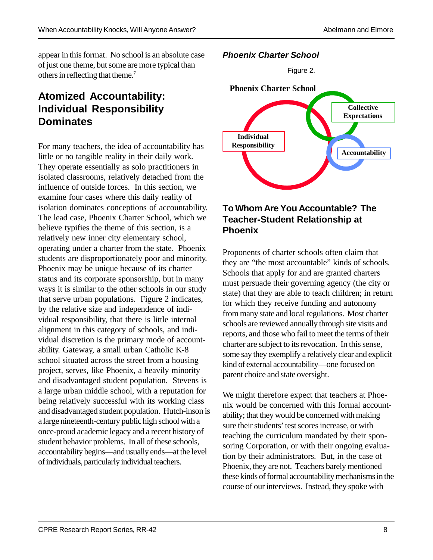appear in this format. No school is an absolute case of just one theme, but some are more typical than others in reflecting that theme.<sup>7</sup>

## **Atomized Accountability: Individual Responsibility Dominates**

For many teachers, the idea of accountability has little or no tangible reality in their daily work. They operate essentially as solo practitioners in isolated classrooms, relatively detached from the influence of outside forces. In this section, we examine four cases where this daily reality of isolation dominates conceptions of accountability. The lead case, Phoenix Charter School, which we believe typifies the theme of this section, is a relatively new inner city elementary school, operating under a charter from the state. Phoenix students are disproportionately poor and minority. Phoenix may be unique because of its charter status and its corporate sponsorship, but in many ways it is similar to the other schools in our study that serve urban populations. Figure 2 indicates, by the relative size and independence of individual responsibility, that there is little internal alignment in this category of schools, and individual discretion is the primary mode of accountability. Gateway, a small urban Catholic K-8 school situated across the street from a housing project, serves, like Phoenix, a heavily minority and disadvantaged student population. Stevens is a large urban middle school, with a reputation for being relatively successful with its working class and disadvantaged student population. Hutch-inson is a large nineteenth-century public high school with a once-proud academic legacy and a recent history of student behavior problems. In all of these schools, accountability begins— and usually ends— at the level of individuals, particularly individual teachers.

### *Phoenix Charter School*





#### **To Whom Are You Accountable? The Teacher-Student Relationship at Phoenix**

Proponents of charter schools often claim that they are "the most accountable" kinds of schools. Schools that apply for and are granted charters must persuade their governing agency (the city or state) that they are able to teach children; in return for which they receive funding and autonomy from many state and local regulations. Most charter schools are reviewed annually through site visits and reports, and those who fail to meet the terms of their charter are subject to its revocation. In this sense, some say they exemplify a relatively clear and explicit kind of external accountability— one focused on parent choice and state oversight.

We might therefore expect that teachers at Phoenix would be concerned with this formal accountability; that they would be concerned with making sure their students' test scores increase, or with teaching the curriculum mandated by their sponsoring Corporation, or with their ongoing evaluation by their administrators. But, in the case of Phoenix, they are not. Teachers barely mentioned these kinds of formal accountability mechanisms in the course of our interviews. Instead, they spoke with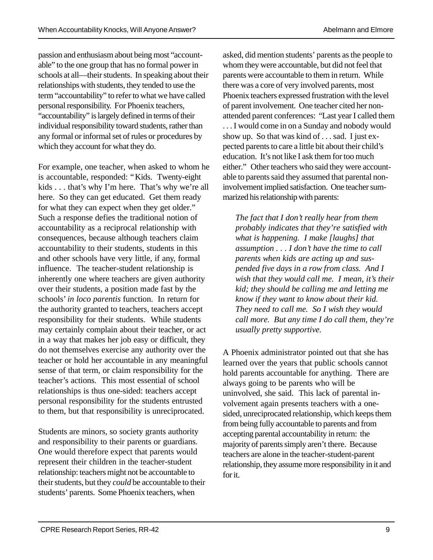passion and enthusiasm about being most "accountable" to the one group that has no formal power in schools at all— their students. In speaking about their relationships with students, they tended to use the term "accountability" to refer to what we have called personal responsibility. For Phoenix teachers, "accountability" is largely defined in terms of their individual responsibility toward students, rather than any formal or informal set of rules or procedures by which they account for what they do.

For example, one teacher, when asked to whom he is accountable, responded: "Kids. Twenty-eight kids . . . that's why I'm here. That's why we're all here. So they can get educated. Get them ready for what they can expect when they get older." Such a response defies the traditional notion of accountability as a reciprocal relationship with consequences, because although teachers claim accountability to their students, students in this and other schools have very little, if any, formal influence. The teacher-student relationship is inherently one where teachers are given authority over their students, a position made fast by the schools' *in loco parentis* function. In return for the authority granted to teachers, teachers accept responsibility for their students. While students may certainly complain about their teacher, or act in a way that makes her job easy or difficult, they do not themselves exercise any authority over the teacher or hold her accountable in any meaningful sense of that term, or claim responsibility for the teacher's actions. This most essential of school relationships is thus one-sided: teachers accept personal responsibility for the students entrusted to them, but that responsibility is unreciprocated.

Students are minors, so society grants authority and responsibility to their parents or guardians. One would therefore expect that parents would represent their children in the teacher-student relationship: teachers might not be accountable to their students, but they *could* be accountable to their students' parents. Some Phoenix teachers, when

asked, did mention students' parents as the people to whom they were accountable, but did not feel that parents were accountable to them in return. While there was a core of very involved parents, most Phoenix teachers expressed frustration with the level of parent involvement. One teacher cited her nonattended parent conferences: "Last year I called them . . . I would come in on a Sunday and nobody would show up. So that was kind of . . . sad. I just expected parents to care a little bit about their child's education. It's not like I ask them for too much either." Other teachers who said they were accountable to parents said they assumed that parental noninvolvement implied satisfaction. One teacher summarized his relationship with parents:

*The fact that I don't really hear from them probably indicates that they're satisfied with what is happening. I make [laughs] that assumption . . . I don't have the time to call parents when kids are acting up and suspended five days in a row from class. And I wish that they would call me. I mean, it's their kid; they should be calling me and letting me know if they want to know about their kid. They need to call me. So I wish they would call more. But any time I do call them, they're usually pretty supportive.*

A Phoenix administrator pointed out that she has learned over the years that public schools cannot hold parents accountable for anything. There are always going to be parents who will be uninvolved, she said. This lack of parental involvement again presents teachers with a onesided, unreciprocated relationship, which keeps them from being fully accountable to parents and from accepting parental accountability in return: the majority of parents simply aren't there. Because teachers are alone in the teacher-student-parent relationship, they assume more responsibility in it and for it.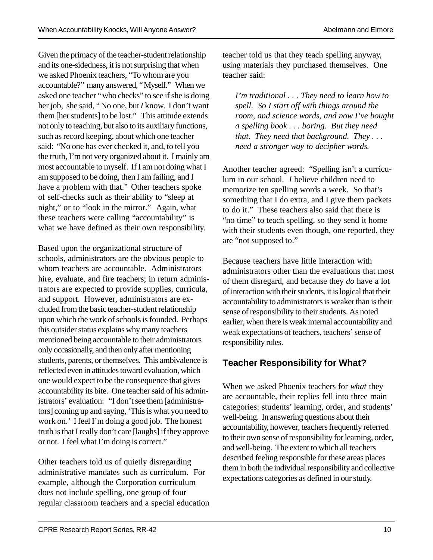Given the primacy of the teacher-student relationship and its one-sidedness, it is not surprising that when we asked Phoenix teachers, "To whom are you accountable?" many answered, "Myself." When we asked one teacher "who checks" to see if she is doing her job, she said, "No one, but *I* know. I don't want them [her students] to be lost." This attitude extends not only to teaching, but also to its auxiliary functions, such as record keeping, about which one teacher said: "No one has ever checked it, and, to tell you the truth, I'm not very organized about it. I mainly am most accountable to myself. If I am not doing what I am supposed to be doing, then I am failing, and I have a problem with that." Other teachers spoke of self-checks such as their ability to "sleep at night," or to "look in the mirror." Again, what these teachers were calling "accountability" is what we have defined as their own responsibility.

Based upon the organizational structure of schools, administrators are the obvious people to whom teachers are accountable. Administrators hire, evaluate, and fire teachers; in return administrators are expected to provide supplies, curricula, and support. However, administrators are excluded from the basic teacher-student relationship upon which the work of schools is founded. Perhaps this outsider status explains why many teachers mentioned being accountable to their administrators only occasionally, and then only after mentioning students, parents, or themselves. This ambivalence is reflected even in attitudes toward evaluation, which one would expect to be the consequence that gives accountability its bite. One teacher said of his administrators' evaluation: "I don't see them [administrators] coming up and saying, 'This is what you need to work on.' I feel I'm doing a good job. The honest truth is that I really don't care [laughs] if they approve or not. I feel what I'm doing is correct."

Other teachers told us of quietly disregarding administrative mandates such as curriculum. For example, although the Corporation curriculum does not include spelling, one group of four regular classroom teachers and a special education teacher told us that they teach spelling anyway, using materials they purchased themselves. One teacher said:

*I'm traditional . . . They need to learn how to spell. So I start off with things around the room, and science words, and now I've bought a spelling book . . . boring. But they need that. They need that background. They . . . need a stronger way to decipher words.*

Another teacher agreed: "Spelling isn't a curriculum in our school. *I* believe children need to memorize ten spelling words a week. So that's something that I do extra, and I give them packets to do it." These teachers also said that there is "no time" to teach spelling, so they send it home with their students even though, one reported, they are "not supposed to."

Because teachers have little interaction with administrators other than the evaluations that most of them disregard, and because they *do* have a lot of interaction with their students, it is logical that their accountability to administrators is weaker than is their sense of responsibility to their students. As noted earlier, when there is weak internal accountability and weak expectations of teachers, teachers' sense of responsibility rules.

### **Teacher Responsibility for What?**

When we asked Phoenix teachers for *what* they are accountable, their replies fell into three main categories: students' learning, order, and students' well-being. In answering questions about their accountability, however, teachers frequently referred to their own sense of responsibility for learning, order, and well-being. The extent to which all teachers described feeling responsible for these areas places them in both the individual responsibility and collective expectations categories as defined in our study.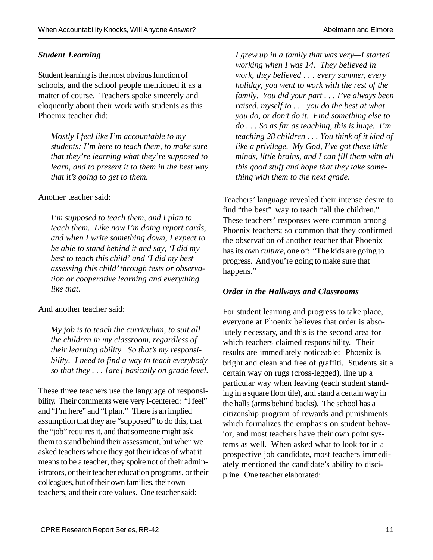#### *Student Learning*

Student learning is the most obvious function of schools, and the school people mentioned it as a matter of course. Teachers spoke sincerely and eloquently about their work with students as this Phoenix teacher did:

*Mostly I feel like I'm accountable to my students; I'm here to teach them, to make sure that they're learning what they're supposed to learn, and to present it to them in the best way that it's going to get to them.*

#### Another teacher said:

*I'm supposed to teach them, and I plan to teach them. Like now I'm doing report cards, and when I write something down, I expect to be able to stand behind it and say, 'I did my best to teach this child' and 'I did my best assessing this child' through tests or observation or cooperative learning and everything like that.*

#### And another teacher said:

*My job is to teach the curriculum, to suit all the children in my classroom, regardless of their learning ability. So that's my responsibility. I need to find a way to teach everybody so that they . . . [are] basically on grade level.*

These three teachers use the language of responsibility. Their comments were very I-centered: "I feel" and "I'm here" and "I plan." There is an implied assumption that they are "supposed" to do this, that the "job" requires it, and that someone might ask them to stand behind their assessment, but when we asked teachers where they got their ideas of what it means to be a teacher, they spoke not of their administrators, or their teacher education programs, or their colleagues, but of their own families, their own teachers, and their core values. One teacher said:

*I grew up in a family that was very-I started working when I was 14. They believed in work, they believed . . . every summer, every holiday, you went to work with the rest of the family. You did your part . . . I've always been raised, myself to . . . you do the best at what you do, or don't do it. Find something else to do . . . So as far as teaching, this is huge. I'm teaching 28 children . . . You think of it kind of like a privilege. My God, I've got these little minds, little brains, and I can fill them with all this good stuff and hope that they take something with them to the next grade.*

Teachers' language revealed their intense desire to find "the best" way to teach "all the children." These teachers' responses were common among Phoenix teachers; so common that they confirmed the observation of another teacher that Phoenix has its own *culture*, one of: "The kids are going to progress. And you're going to make sure that happens."

#### *Order in the Hallways and Classrooms*

For student learning and progress to take place, everyone at Phoenix believes that order is absolutely necessary, and this is the second area for which teachers claimed responsibility. Their results are immediately noticeable: Phoenix is bright and clean and free of graffiti. Students sit a certain way on rugs (cross-legged), line up a particular way when leaving (each student standing in a square floor tile), and stand a certain way in the halls (arms behind backs). The school has a citizenship program of rewards and punishments which formalizes the emphasis on student behavior, and most teachers have their own point systems as well. When asked what to look for in a prospective job candidate, most teachers immediately mentioned the candidate's ability to discipline. One teacher elaborated: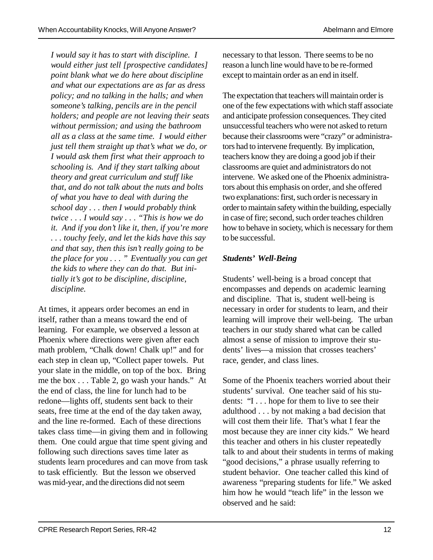*I would say it has to start with discipline. I would either just tell [prospective candidates] point blank what we do here about discipline and what our expectations are as far as dress policy; and no talking in the halls; and when someone's talking, pencils are in the pencil holders; and people are not leaving their seats without permission; and using the bathroom all as a class at the same time. I would either just tell them straight up that's what we do, or I would ask them first what their approach to schooling is. And if they start talking about theory and great curriculum and stuff like that, and do not talk about the nuts and bolts of what you have to deal with during the school day . . . then I would probably think twice . . . I would say . . . "This is how we do it. And if you don't like it, then, if you're more . . . touchy feely, and let the kids have this say and that say, then this isn't really going to be the place for you . . . " Eventually you can get the kids to where they can do that. But initially it's got to be discipline, discipline, discipline.*

At times, it appears order becomes an end in itself, rather than a means toward the end of learning. For example, we observed a lesson at Phoenix where directions were given after each math problem, "Chalk down! Chalk up!" and for each step in clean up, "Collect paper towels. Put your slate in the middle, on top of the box. Bring me the box . . . Table 2, go wash your hands." At the end of class, the line for lunch had to be redone— lights off, students sent back to their seats, free time at the end of the day taken away, and the line re-formed. Each of these directions takes class time— in giving them and in following them. One could argue that time spent giving and following such directions saves time later as students learn procedures and can move from task to task efficiently. But the lesson we observed was mid-year, and the directions did not seem

necessary to that lesson. There seems to be no reason a lunch line would have to be re-formed except to maintain order as an end in itself.

The expectation that teachers will maintain order is one of the few expectations with which staff associate and anticipate profession consequences. They cited unsuccessful teachers who were not asked to return because their classrooms were "crazy" or administrators had to intervene frequently. By implication, teachers know they are doing a good job if their classrooms are quiet and administrators do not intervene. We asked one of the Phoenix administrators about this emphasis on order, and she offered two explanations: first, such order is necessary in order to maintain safety within the building, especially in case of fire; second, such order teaches children how to behave in society, which is necessary for them to be successful.

#### *Students' Well-Being*

Students' well-being is a broad concept that encompasses and depends on academic learning and discipline. That is, student well-being is necessary in order for students to learn, and their learning will improve their well-being. The urban teachers in our study shared what can be called almost a sense of mission to improve their students' lives—a mission that crosses teachers' race, gender, and class lines.

Some of the Phoenix teachers worried about their students' survival. One teacher said of his students: "I . . . hope for them to live to see their adulthood . . . by not making a bad decision that will cost them their life. That's what I fear the most because they are inner city kids." We heard this teacher and others in his cluster repeatedly talk to and about their students in terms of making "good decisions," a phrase usually referring to student behavior. One teacher called this kind of awareness "preparing students for life." We asked him how he would "teach life" in the lesson we observed and he said: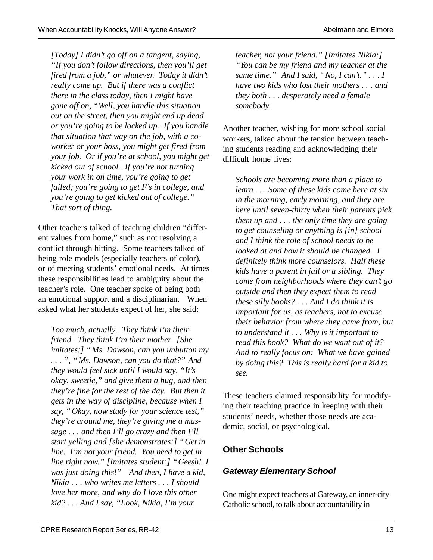*[Today] I didn't go off on a tangent, saying, "If you don't follow directions, then you'll get fired from a job," or whatever. Today it didn't really come up. But if there was a conflict there in the class today, then I might have gone off on, "Well, you handle this situation out on the street, then you might end up dead or you're going to be locked up. If you handle that situation that way on the job, with a coworker or your boss, you might get fired from your job. Or if you're at school, you might get kicked out of school. If you're not turning your work in on time, you're going to get failed; you're going to get F's in college, and you're going to get kicked out of college." That sort of thing.*

Other teachers talked of teaching children "different values from home," such as not resolving a conflict through hitting. Some teachers talked of being role models (especially teachers of color), or of meeting students' emotional needs. At times these responsibilities lead to ambiguity about the teacher's role. One teacher spoke of being both an emotional support and a disciplinarian. When asked what her students expect of her, she said:

*Too much, actually. They think I'm their friend. They think I'm their mother. [She imitates:] "Ms. Dawson, can you unbutton my . . . ", "Ms. Dawson, can you do that?" And they would feel sick until I would say, "It's okay, sweetie," and give them a hug, and then they're fine for the rest of the day. But then it gets in the way of discipline, because when I say, "Okay, now study for your science test," they're around me, they're giving me a massage . . . and then I'll go crazy and then I'll start yelling and [she demonstrates:] "Get in line. I'm not your friend. You need to get in line right now." [Imitates student:] "Geesh! I was just doing this!" And then, I have a kid, Nikia . . . who writes me letters . . . I should love her more, and why do I love this other kid? . . . And I say, "Look, Nikia, I'm your*

*teacher, not your friend." [Imitates Nikia:] "You can be my friend and my teacher at the same time." And I said, "No, I can't." . . . I have two kids who lost their mothers . . . and they both . . . desperately need a female somebody.*

Another teacher, wishing for more school social workers, talked about the tension between teaching students reading and acknowledging their difficult home lives:

*Schools are becoming more than a place to learn . . . Some of these kids come here at six in the morning, early morning, and they are here until seven-thirty when their parents pick them up and . . . the only time they are going to get counseling or anything is [in] school and I think the role of school needs to be looked at and how it should be changed. I definitely think more counselors. Half these kids have a parent in jail or a sibling. They come from neighborhoods where they can't go outside and then they expect them to read these silly books? . . . And I do think it is important for us, as teachers, not to excuse their behavior from where they came from, but to understand it . . . Why is it important to read this book? What do we want out of it? And to really focus on: What we have gained by doing this? This is really hard for a kid to see.*

These teachers claimed responsibility for modifying their teaching practice in keeping with their students' needs, whether those needs are academic, social, or psychological.

### **Other Schools**

#### *Gateway Elementary School*

One might expect teachers at Gateway, an inner-city Catholic school, to talk about accountability in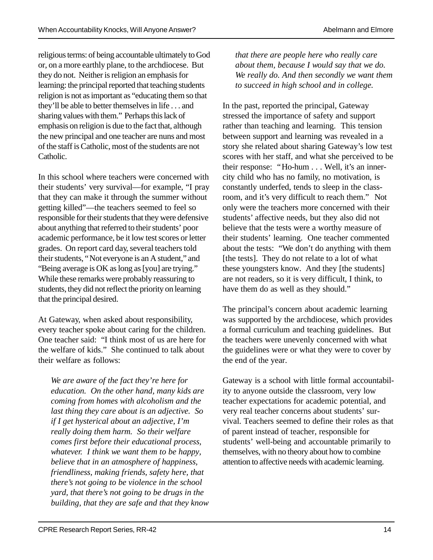religious terms: of being accountable ultimately to God or, on a more earthly plane, to the archdiocese. But they do not. Neither is religion an emphasis for learning: the principal reported that teaching students religion is not as important as "educating them so that they'll be able to better themselves in life . . . and sharing values with them." Perhaps this lack of emphasis on religion is due to the fact that, although the new principal and one teacher are nuns and most of the staff is Catholic, most of the students are not Catholic.

In this school where teachers were concerned with their students' very survival— for example, "I pray that they can make it through the summer without getting killed"— the teachers seemed to feel so responsible for their students that they were defensive about anything that referred to their students' poor academic performance, be it low test scores or letter grades. On report card day, several teachers told their students, "Not everyone is an A student," and "Being average is OK as long as [you] are trying." While these remarks were probably reassuring to students, they did not reflect the priority on learning that the principal desired.

At Gateway, when asked about responsibility, every teacher spoke about caring for the children. One teacher said: "I think most of us are here for the welfare of kids." She continued to talk about their welfare as follows:

*We are aware of the fact they're here for education. On the other hand, many kids are coming from homes with alcoholism and the last thing they care about is an adjective. So if I get hysterical about an adjective, I'm really doing them harm. So their welfare comes first before their educational process, whatever. I think we want them to be happy, believe that in an atmosphere of happiness, friendliness, making friends, safety here, that there's not going to be violence in the school yard, that there's not going to be drugs in the building, that they are safe and that they know* *that there are people here who really care about them, because I would say that we do. We really do. And then secondly we want them to succeed in high school and in college.*

In the past, reported the principal, Gateway stressed the importance of safety and support rather than teaching and learning. This tension between support and learning was revealed in a story she related about sharing Gateway's low test scores with her staff, and what she perceived to be their response: "Ho-hum . . . Well, it's an innercity child who has no family, no motivation, is constantly underfed, tends to sleep in the classroom, and it's very difficult to reach them." Not only were the teachers more concerned with their students' affective needs, but they also did not believe that the tests were a worthy measure of their students' learning. One teacher commented about the tests: "We don't do anything with them [the tests]. They do not relate to a lot of what these youngsters know. And they [the students] are not readers, so it is very difficult, I think, to have them do as well as they should."

The principal's concern about academic learning was supported by the archdiocese, which provides a formal curriculum and teaching guidelines. But the teachers were unevenly concerned with what the guidelines were or what they were to cover by the end of the year.

Gateway is a school with little formal accountability to anyone outside the classroom, very low teacher expectations for academic potential, and very real teacher concerns about students' survival. Teachers seemed to define their roles as that of parent instead of teacher, responsible for students' well-being and accountable primarily to themselves, with no theory about how to combine attention to affective needs with academic learning.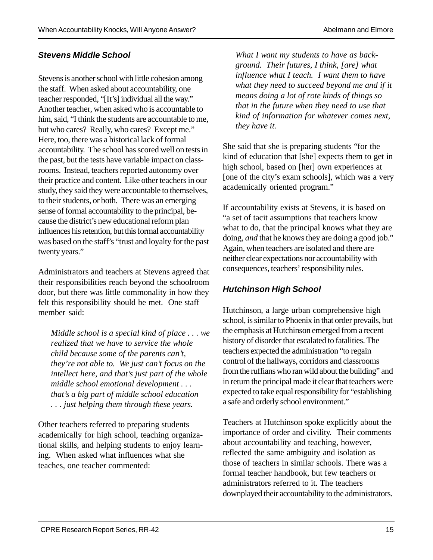#### *Stevens Middle School*

Stevens is another school with little cohesion among the staff. When asked about accountability, one teacher responded, "[It's] individual all the way." Another teacher, when asked who is accountable to him, said, "I think the students are accountable to me, but who cares? Really, who cares? Except me." Here, too, there was a historical lack of formal accountability. The school has scored well on tests in the past, but the tests have variable impact on classrooms. Instead, teachers reported autonomy over their practice and content. Like other teachers in our study, they said they were accountable to themselves, to their students, or both. There was an emerging sense of formal accountability to the principal, because the district's new educational reform plan influences his retention, but this formal accountability was based on the staff's "trust and loyalty for the past twenty years."

Administrators and teachers at Stevens agreed that their responsibilities reach beyond the schoolroom door, but there was little commonality in how they felt this responsibility should be met. One staff member said:

*Middle school is a special kind of place . . . we realized that we have to service the whole child because some of the parents can't, they're not able to. We just can't focus on the intellect here, and that's just part of the whole middle school emotional development . . . that's a big part of middle school education . . . just helping them through these years.*

Other teachers referred to preparing students academically for high school, teaching organizational skills, and helping students to enjoy learning. When asked what influences what she teaches, one teacher commented:

*What I want my students to have as background. Their futures, I think, [are] what influence what I teach. I want them to have what they need to succeed beyond me and if it means doing a lot of rote kinds of things so that in the future when they need to use that kind of information for whatever comes next, they have it.*

She said that she is preparing students "for the kind of education that [she] expects them to get in high school, based on [her] own experiences at [one of the city's exam schools], which was a very academically oriented program."

If accountability exists at Stevens, it is based on "a set of tacit assumptions that teachers know what to do, that the principal knows what they are doing, *and* that he knows they are doing a good job." Again, when teachers are isolated and there are neither clear expectations nor accountability with consequences, teachers' responsibility rules.

#### *Hutchinson High School*

Hutchinson, a large urban comprehensive high school, is similar to Phoenix in that order prevails, but the emphasis at Hutchinson emerged from a recent history of disorder that escalated to fatalities. The teachers expected the administration "to regain control of the hallways, corridors and classrooms from the ruffians who ran wild about the building" and in return the principal made it clear that teachers were expected to take equal responsibility for "establishing a safe and orderly school environment."

Teachers at Hutchinson spoke explicitly about the importance of order and civility. Their comments about accountability and teaching, however, reflected the same ambiguity and isolation as those of teachers in similar schools. There was a formal teacher handbook, but few teachers or administrators referred to it. The teachers downplayed their accountability to the administrators.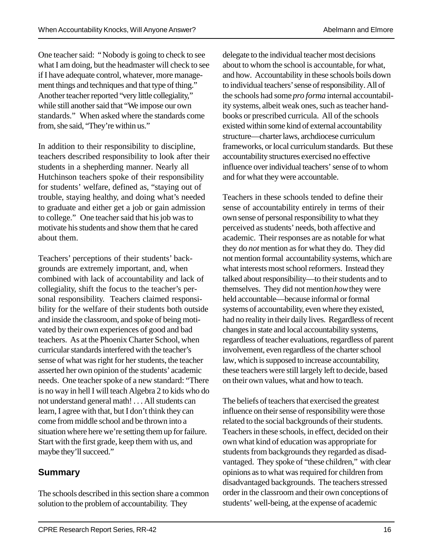One teacher said: "Nobody is going to check to see what I am doing, but the headmaster will check to see if I have adequate control, whatever, more management things and techniques and that type of thing." Another teacher reported "very little collegiality," while still another said that "We impose our own standards." When asked where the standards come from, she said, "They're within us."

In addition to their responsibility to discipline, teachers described responsibility to look after their students in a shepherding manner. Nearly all Hutchinson teachers spoke of their responsibility for students' welfare, defined as, "staying out of trouble, staying healthy, and doing what's needed to graduate and either get a job or gain admission to college." One teacher said that his job was to motivate his students and show them that he cared about them.

Teachers' perceptions of their students' backgrounds are extremely important, and, when combined with lack of accountability and lack of collegiality, shift the focus to the teacher's personal responsibility. Teachers claimed responsibility for the welfare of their students both outside and inside the classroom, and spoke of being motivated by their own experiences of good and bad teachers. As at the Phoenix Charter School, when curricular standards interfered with the teacher's sense of what was right for her students, the teacher asserted her own opinion of the students' academic needs. One teacher spoke of a new standard: "There is no way in hell I will teach Algebra 2 to kids who do not understand general math! . . . All students can learn, I agree with that, but I don't think they can come from middle school and be thrown into a situation where here we're setting them up for failure. Start with the first grade, keep them with us, and maybe they'll succeed."

### **Summary**

The schools described in this section share a common solution to the problem of accountability. They

delegate to the individual teacher most decisions about to whom the school is accountable, for what, and how. Accountability in these schools boils down to individual teachers' sense of responsibility. All of the schools had some *pro forma* internal accountability systems, albeit weak ones, such as teacher handbooks or prescribed curricula. All of the schools existed within some kind of external accountability structure— charter laws, archdiocese curriculum frameworks, or local curriculum standards. But these accountability structures exercised no effective influence over individual teachers' sense of to whom and for what they were accountable.

Teachers in these schools tended to define their sense of accountability entirely in terms of their own sense of personal responsibility to what they perceived as students' needs, both affective and academic. Their responses are as notable for what they do *not* mention as for what they do. They did not mention formal accountability systems, which are what interests most school reformers. Instead they talked about responsibility— to their students and to themselves. They did not mention *how* they were held accountable— because informal or formal systems of accountability, even where they existed, had no reality in their daily lives. Regardless of recent changes in state and local accountability systems, regardless of teacher evaluations, regardless of parent involvement, even regardless of the charter school law, which is supposed to increase accountability, these teachers were still largely left to decide, based on their own values, what and how to teach.

The beliefs of teachers that exercised the greatest influence on their sense of responsibility were those related to the social backgrounds of their students. Teachers in these schools, in effect, decided on their own what kind of education was appropriate for students from backgrounds they regarded as disadvantaged. They spoke of "these children," with clear opinions as to what was required for children from disadvantaged backgrounds. The teachers stressed order in the classroom and their own conceptions of students' well-being, at the expense of academic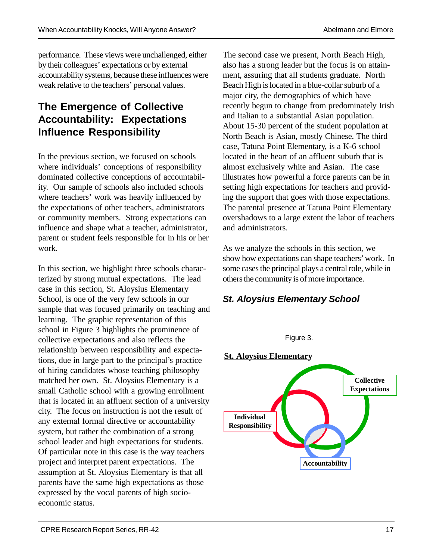performance. These views were unchallenged, either by their colleagues' expectations or by external accountability systems, because these influences were weak relative to the teachers' personal values.

## **The Emergence of Collective Accountability: Expectations Influence Responsibility**

In the previous section, we focused on schools where individuals' conceptions of responsibility dominated collective conceptions of accountability. Our sample of schools also included schools where teachers' work was heavily influenced by the expectations of other teachers, administrators or community members. Strong expectations can influence and shape what a teacher, administrator, parent or student feels responsible for in his or her work.

In this section, we highlight three schools characterized by strong mutual expectations. The lead case in this section, St. Aloysius Elementary School, is one of the very few schools in our sample that was focused primarily on teaching and learning. The graphic representation of this school in Figure 3 highlights the prominence of collective expectations and also reflects the relationship between responsibility and expectations, due in large part to the principal's practice of hiring candidates whose teaching philosophy matched her own. St. Aloysius Elementary is a small Catholic school with a growing enrollment that is located in an affluent section of a university city. The focus on instruction is not the result of any external formal directive or accountability system, but rather the combination of a strong school leader and high expectations for students. Of particular note in this case is the way teachers project and interpret parent expectations. The assumption at St. Aloysius Elementary is that all parents have the same high expectations as those expressed by the vocal parents of high socioeconomic status.

The second case we present, North Beach High, also has a strong leader but the focus is on attainment, assuring that all students graduate. North Beach High is located in a blue-collar suburb of a major city, the demographics of which have recently begun to change from predominately Irish and Italian to a substantial Asian population. About 15-30 percent of the student population at North Beach is Asian, mostly Chinese. The third case, Tatuna Point Elementary, is a K-6 school located in the heart of an affluent suburb that is almost exclusively white and Asian. The case illustrates how powerful a force parents can be in setting high expectations for teachers and providing the support that goes with those expectations. The parental presence at Tatuna Point Elementary overshadows to a large extent the labor of teachers and administrators.

As we analyze the schools in this section, we show how expectations can shape teachers' work. In some cases the principal plays a central role, while in others the community is of more importance.

#### *St. Aloysius Elementary School*



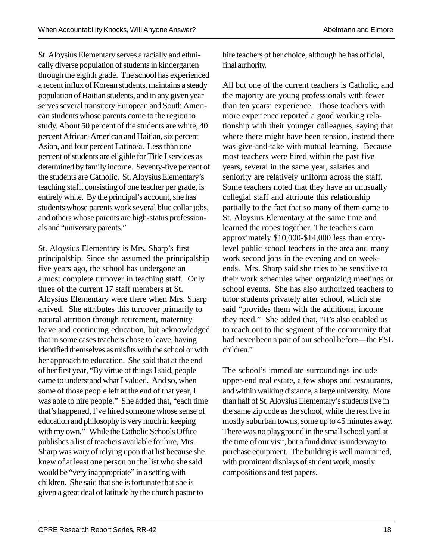St. Aloysius Elementary serves a racially and ethnically diverse population of students in kindergarten through the eighth grade. The school has experienced a recent influx of Korean students, maintains a steady population of Haitian students, and in any given year serves several transitory European and South American students whose parents come to the region to study. About 50 percent of the students are white, 40 percent African-American and Haitian, six percent Asian, and four percent Latino/a. Less than one percent of students are eligible for Title I services as determined by family income. Seventy-five percent of the students are Catholic. St. Aloysius Elementary's teaching staff, consisting of one teacher per grade, is entirely white. By the principal's account, she has students whose parents work several blue collar jobs, and others whose parents are high-status professionals and "university parents."

St. Aloysius Elementary is Mrs. Sharp's first principalship. Since she assumed the principalship five years ago, the school has undergone an almost complete turnover in teaching staff. Only three of the current 17 staff members at St. Aloysius Elementary were there when Mrs. Sharp arrived. She attributes this turnover primarily to natural attrition through retirement, maternity leave and continuing education, but acknowledged that in some cases teachers chose to leave, having identified themselves as misfits with the school or with her approach to education. She said that at the end of her first year, "By virtue of things I said, people came to understand what I valued. And so, when some of those people left at the end of that year, I was able to hire people." She added that, "each time that's happened, I've hired someone whose sense of education and philosophy is very much in keeping with my own." While the Catholic Schools Office publishes a list of teachers available for hire, Mrs. Sharp was wary of relying upon that list because she knew of at least one person on the list who she said would be "very inappropriate" in a setting with children. She said that she is fortunate that she is given a great deal of latitude by the church pastor to

hire teachers of her choice, although he has official, final authority.

All but one of the current teachers is Catholic, and the majority are young professionals with fewer than ten years' experience. Those teachers with more experience reported a good working relationship with their younger colleagues, saying that where there might have been tension, instead there was give-and-take with mutual learning. Because most teachers were hired within the past five years, several in the same year, salaries and seniority are relatively uniform across the staff. Some teachers noted that they have an unusually collegial staff and attribute this relationship partially to the fact that so many of them came to St. Aloysius Elementary at the same time and learned the ropes together. The teachers earn approximately \$10,000-\$14,000 less than entrylevel public school teachers in the area and many work second jobs in the evening and on weekends. Mrs. Sharp said she tries to be sensitive to their work schedules when organizing meetings or school events. She has also authorized teachers to tutor students privately after school, which she said "provides them with the additional income they need." She added that, "It's also enabled us to reach out to the segment of the community that had never been a part of our school before— the ESL children."

The school's immediate surroundings include upper-end real estate, a few shops and restaurants, and within walking distance, a large university. More than half of St. Aloysius Elementary's students live in the same zip code as the school, while the rest live in mostly suburban towns, some up to 45 minutes away. There was no playground in the small school yard at the time of our visit, but a fund drive is underway to purchase equipment. The building is well maintained, with prominent displays of student work, mostly compositions and test papers.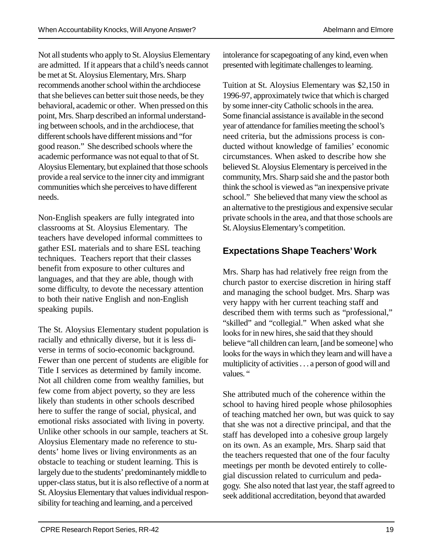Not all students who apply to St. Aloysius Elementary are admitted. If it appears that a child's needs cannot be met at St. Aloysius Elementary, Mrs. Sharp recommends another school within the archdiocese that she believes can better suit those needs, be they behavioral, academic or other. When pressed on this point, Mrs. Sharp described an informal understanding between schools, and in the archdiocese, that different schools have different missions and "for good reason." She described schools where the academic performance was not equal to that of St. Aloysius Elementary, but explained that those schools provide a real service to the inner city and immigrant communities which she perceives to have different needs.

Non-English speakers are fully integrated into classrooms at St. Aloysius Elementary. The teachers have developed informal committees to gather ESL materials and to share ESL teaching techniques. Teachers report that their classes benefit from exposure to other cultures and languages, and that they are able, though with some difficulty, to devote the necessary attention to both their native English and non-English speaking pupils.

The St. Aloysius Elementary student population is racially and ethnically diverse, but it is less diverse in terms of socio-economic background. Fewer than one percent of students are eligible for Title I services as determined by family income. Not all children come from wealthy families, but few come from abject poverty, so they are less likely than students in other schools described here to suffer the range of social, physical, and emotional risks associated with living in poverty. Unlike other schools in our sample, teachers at St. Aloysius Elementary made no reference to students' home lives or living environments as an obstacle to teaching or student learning. This is largely due to the students' predominantely middle to upper-class status, but it is also reflective of a norm at St. Aloysius Elementary that values individual responsibility for teaching and learning, and a perceived

intolerance for scapegoating of any kind, even when presented with legitimate challenges to learning.

Tuition at St. Aloysius Elementary was \$2,150 in 1996-97, approximately twice that which is charged by some inner-city Catholic schools in the area. Some financial assistance is available in the second year of attendance for families meeting the school's need criteria, but the admissions process is conducted without knowledge of families' economic circumstances. When asked to describe how she believed St. Aloysius Elementary is perceived in the community, Mrs. Sharp said she and the pastor both think the school is viewed as "an inexpensive private school." She believed that many view the school as an alternative to the prestigious and expensive secular private schools in the area, and that those schools are St. Aloysius Elementary's competition.

### **Expectations Shape Teachers' Work**

Mrs. Sharp has had relatively free reign from the church pastor to exercise discretion in hiring staff and managing the school budget. Mrs. Sharp was very happy with her current teaching staff and described them with terms such as "professional," "skilled" and "collegial." When asked what she looks for in new hires, she said that they should believe "all children can learn, [and be someone] who looks for the ways in which they learn and will have a multiplicity of activities . . . a person of good will and values. "

She attributed much of the coherence within the school to having hired people whose philosophies of teaching matched her own, but was quick to say that she was not a directive principal, and that the staff has developed into a cohesive group largely on its own. As an example, Mrs. Sharp said that the teachers requested that one of the four faculty meetings per month be devoted entirely to collegial discussion related to curriculum and pedagogy. She also noted that last year, the staff agreed to seek additional accreditation, beyond that awarded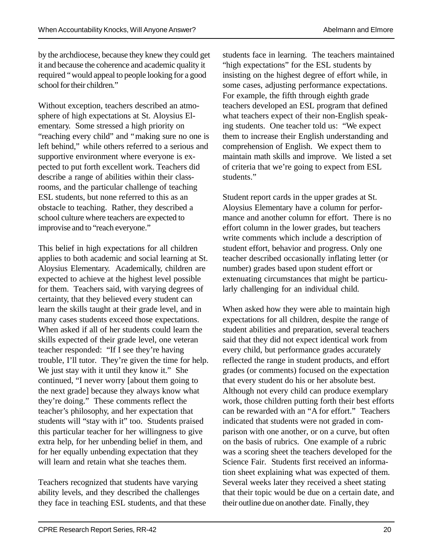by the archdiocese, because they knew they could get it and because the coherence and academic quality it required "would appeal to people looking for a good school for their children."

Without exception, teachers described an atmosphere of high expectations at St. Aloysius Elementary. Some stressed a high priority on "reaching every child" and "making sure no one is left behind," while others referred to a serious and supportive environment where everyone is expected to put forth excellent work. Teachers did describe a range of abilities within their classrooms, and the particular challenge of teaching ESL students, but none referred to this as an obstacle to teaching. Rather, they described a school culture where teachers are expected to improvise and to "reach everyone."

This belief in high expectations for all children applies to both academic and social learning at St. Aloysius Elementary. Academically, children are expected to achieve at the highest level possible for them. Teachers said, with varying degrees of certainty, that they believed every student can learn the skills taught at their grade level, and in many cases students exceed those expectations. When asked if all of her students could learn the skills expected of their grade level, one veteran teacher responded: "If I see they're having trouble, I'll tutor. They're given the time for help. We just stay with it until they know it." She continued, "I never worry [about them going to the next grade] because they always know what they're doing." These comments reflect the teacher's philosophy, and her expectation that students will "stay with it" too. Students praised this particular teacher for her willingness to give extra help, for her unbending belief in them, and for her equally unbending expectation that they will learn and retain what she teaches them.

Teachers recognized that students have varying ability levels, and they described the challenges they face in teaching ESL students, and that these students face in learning. The teachers maintained "high expectations" for the ESL students by insisting on the highest degree of effort while, in some cases, adjusting performance expectations. For example, the fifth through eighth grade teachers developed an ESL program that defined what teachers expect of their non-English speaking students. One teacher told us: "We expect them to increase their English understanding and comprehension of English. We expect them to maintain math skills and improve. We listed a set of criteria that we're going to expect from ESL students."

Student report cards in the upper grades at St. Aloysius Elementary have a column for performance and another column for effort. There is no effort column in the lower grades, but teachers write comments which include a description of student effort, behavior and progress. Only one teacher described occasionally inflating letter (or number) grades based upon student effort or extenuating circumstances that might be particularly challenging for an individual child.

When asked how they were able to maintain high expectations for all children, despite the range of student abilities and preparation, several teachers said that they did not expect identical work from every child, but performance grades accurately reflected the range in student products, and effort grades (or comments) focused on the expectation that every student do his or her absolute best. Although not every child can produce exemplary work, those children putting forth their best efforts can be rewarded with an "A for effort." Teachers indicated that students were not graded in comparison with one another, or on a curve, but often on the basis of rubrics. One example of a rubric was a scoring sheet the teachers developed for the Science Fair. Students first received an information sheet explaining what was expected of them. Several weeks later they received a sheet stating that their topic would be due on a certain date, and their outline due on another date. Finally, they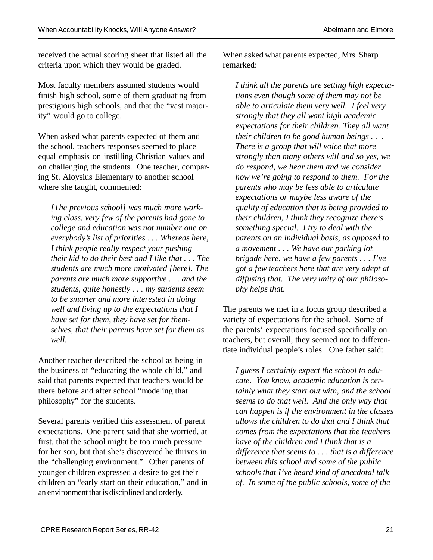received the actual scoring sheet that listed all the criteria upon which they would be graded.

Most faculty members assumed students would finish high school, some of them graduating from prestigious high schools, and that the "vast majority" would go to college.

When asked what parents expected of them and the school, teachers responses seemed to place equal emphasis on instilling Christian values and on challenging the students. One teacher, comparing St. Aloysius Elementary to another school where she taught, commented:

*[The previous school] was much more working class, very few of the parents had gone to college and education was not number one on everybody's list of priorities . . . Whereas here, I think people really respect your pushing their kid to do their best and I like that . . . The students are much more motivated [here]. The parents are much more supportive . . . and the students, quite honestly . . . my students seem to be smarter and more interested in doing well and living up to the expectations that I have set for them, they have set for themselves, that their parents have set for them as well.*

Another teacher described the school as being in the business of "educating the whole child," and said that parents expected that teachers would be there before and after school "modeling that philosophy" for the students.

Several parents verified this assessment of parent expectations. One parent said that she worried, at first, that the school might be too much pressure for her son, but that she's discovered he thrives in the "challenging environment." Other parents of younger children expressed a desire to get their children an "early start on their education," and in an environment that is disciplined and orderly.

When asked what parents expected, Mrs. Sharp remarked:

*I think all the parents are setting high expectations even though some of them may not be able to articulate them very well. I feel very strongly that they all want high academic expectations for their children. They all want their children to be good human beings . . . There is a group that will voice that more strongly than many others will and so yes, we do respond, we hear them and we consider how we're going to respond to them. For the parents who may be less able to articulate expectations or maybe less aware of the quality of education that is being provided to their children, I think they recognize there's something special. I try to deal with the parents on an individual basis, as opposed to a movement . . . We have our parking lot brigade here, we have a few parents . . . I've got a few teachers here that are very adept at diffusing that. The very unity of our philosophy helps that.*

The parents we met in a focus group described a variety of expectations for the school. Some of the parents' expectations focused specifically on teachers, but overall, they seemed not to differentiate individual people's roles. One father said:

*I guess I certainly expect the school to educate. You know, academic education is certainly what they start out with, and the school seems to do that well. And the only way that can happen is if the environment in the classes allows the children to do that and I think that comes from the expectations that the teachers have of the children and I think that is a difference that seems to . . . that is a difference between this school and some of the public schools that I've heard kind of anecdotal talk of. In some of the public schools, some of the*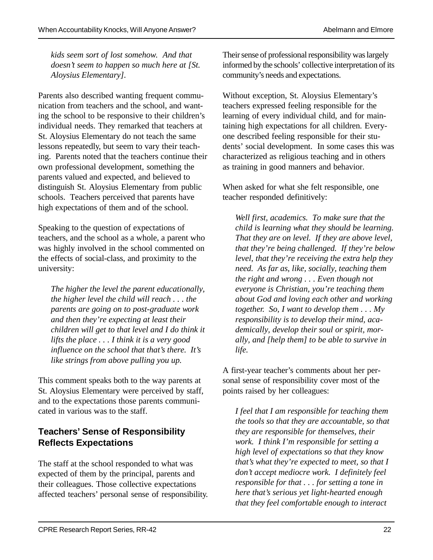*kids seem sort of lost somehow. And that doesn't seem to happen so much here at [St. Aloysius Elementary].*

Parents also described wanting frequent communication from teachers and the school, and wanting the school to be responsive to their children's individual needs. They remarked that teachers at St. Aloysius Elementary do not teach the same lessons repeatedly, but seem to vary their teaching. Parents noted that the teachers continue their own professional development, something the parents valued and expected, and believed to distinguish St. Aloysius Elementary from public schools. Teachers perceived that parents have high expectations of them and of the school.

Speaking to the question of expectations of teachers, and the school as a whole, a parent who was highly involved in the school commented on the effects of social-class, and proximity to the university:

*The higher the level the parent educationally, the higher level the child will reach . . . the parents are going on to post-graduate work and then they're expecting at least their children will get to that level and I do think it lifts the place . . . I think it is a very good influence on the school that that's there. It's like strings from above pulling you up.*

This comment speaks both to the way parents at St. Aloysius Elementary were perceived by staff, and to the expectations those parents communicated in various was to the staff.

#### **Teachers' Sense of Responsibility Reflects Expectations**

The staff at the school responded to what was expected of them by the principal, parents and their colleagues. Those collective expectations affected teachers' personal sense of responsibility. Their sense of professional responsibility was largely informed by the schools' collective interpretation of its community's needs and expectations.

Without exception, St. Aloysius Elementary's teachers expressed feeling responsible for the learning of every individual child, and for maintaining high expectations for all children. Everyone described feeling responsible for their students' social development. In some cases this was characterized as religious teaching and in others as training in good manners and behavior.

When asked for what she felt responsible, one teacher responded definitively:

*Well first, academics. To make sure that the child is learning what they should be learning. That they are on level. If they are above level, that they're being challenged. If they're below level, that they're receiving the extra help they need. As far as, like, socially, teaching them the right and wrong . . . Even though not everyone is Christian, you're teaching them about God and loving each other and working together. So, I want to develop them . . . My responsibility is to develop their mind, academically, develop their soul or spirit, morally, and [help them] to be able to survive in life.*

A first-year teacher's comments about her personal sense of responsibility cover most of the points raised by her colleagues:

*I feel that I am responsible for teaching them the tools so that they are accountable, so that they are responsible for themselves, their work. I think I'm responsible for setting a high level of expectations so that they know that's what they're expected to meet, so that I don't accept mediocre work. I definitely feel responsible for that . . . for setting a tone in here that's serious yet light-hearted enough that they feel comfortable enough to interact*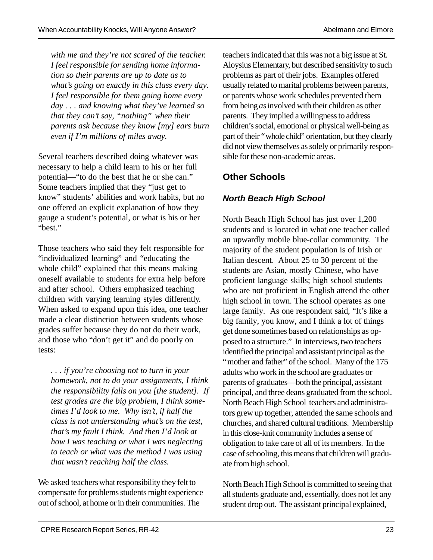*with me and they're not scared of the teacher. I feel responsible for sending home information so their parents are up to date as to what's going on exactly in this class every day. I feel responsible for them going home every day . . . and knowing what they've learned so that they can't say, "nothing" when their parents ask because they know [my] ears burn even if I'm millions of miles away.*

Several teachers described doing whatever was necessary to help a child learn to his or her full potential— "to do the best that he or she can." Some teachers implied that they "just get to know" students' abilities and work habits, but no one offered an explicit explanation of how they gauge a student's potential, or what is his or her "best."

Those teachers who said they felt responsible for "individualized learning" and "educating the whole child" explained that this means making oneself available to students for extra help before and after school. Others emphasized teaching children with varying learning styles differently. When asked to expand upon this idea, one teacher made a clear distinction between students whose grades suffer because they do not do their work, and those who "don't get it" and do poorly on tests:

*. . . if you're choosing not to turn in your homework, not to do your assignments, I think the responsibility falls on you [the student]. If test grades are the big problem, I think sometimes I'd look to me. Why isn't, if half the class is not understanding what's on the test, that's my fault I think. And then I'd look at how I was teaching or what I was neglecting to teach or what was the method I was using that wasn't reaching half the class.*

We asked teachers what responsibility they felt to compensate for problems students might experience out of school, at home or in their communities. The

teachers indicated that this was not a big issue at St. Aloysius Elementary, but described sensitivity to such problems as part of their jobs. Examples offered usually related to marital problems between parents, or parents whose work schedules prevented them from being *as* involved with their children as other parents. They implied a willingness to address children's social, emotional or physical well-being as part of their "whole child" orientation, but they clearly did not view themselves as solely or primarily responsible for these non-academic areas.

### **Other Schools**

#### *North Beach High School*

North Beach High School has just over 1,200 students and is located in what one teacher called an upwardly mobile blue-collar community. The majority of the student population is of Irish or Italian descent. About 25 to 30 percent of the students are Asian, mostly Chinese, who have proficient language skills; high school students who are not proficient in English attend the other high school in town. The school operates as one large family. As one respondent said, "It's like a big family, you know, and I think a lot of things get done sometimes based on relationships as opposed to a structure." In interviews, two teachers identified the principal and assistant principal as the "mother and father" of the school. Many of the 175 adults who work in the school are graduates or parents of graduates— both the principal, assistant principal, and three deans graduated from the school. North Beach High School teachers and administrators grew up together, attended the same schools and churches, and shared cultural traditions. Membership in this close-knit community includes a sense of obligation to take care of all of its members. In the case of schooling, this means that children will graduate from high school.

North Beach High School is committed to seeing that all students graduate and, essentially, does not let any student drop out. The assistant principal explained,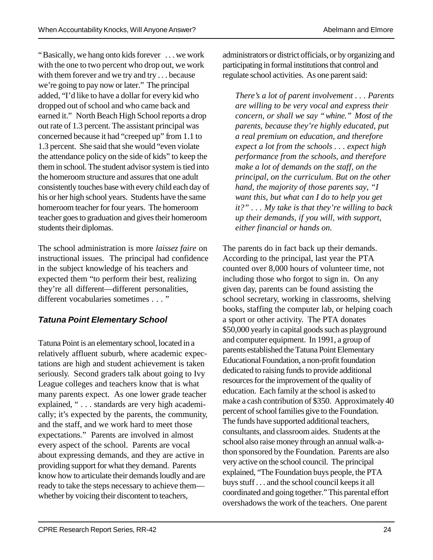"Basically, we hang onto kids forever . . . we work with the one to two percent who drop out, we work with them forever and we try and try . . . because we're going to pay now or later." The principal added, "I'd like to have a dollar for every kid who dropped out of school and who came back and earned it." North Beach High School reports a drop out rate of 1.3 percent. The assistant principal was concerned because it had "creeped up" from 1.1 to 1.3 percent. She said that she would "even violate the attendance policy on the side of kids" to keep the them in school. The student advisor system is tied into the homeroom structure and assures that one adult consistently touches base with every child each day of his or her high school years. Students have the same homeroom teacher for four years. The homeroom teacher goes to graduation and gives their homeroom students their diplomas.

The school administration is more *laissez faire* on instructional issues. The principal had confidence in the subject knowledge of his teachers and expected them "to perform their best, realizing they're all different— different personalities, different vocabularies sometimes . . . "

#### *Tatuna Point Elementary School*

Tatuna Point is an elementary school, located in a relatively affluent suburb, where academic expectations are high and student achievement is taken seriously. Second graders talk about going to Ivy League colleges and teachers know that is what many parents expect. As one lower grade teacher explained, " . . . standards are very high academically; it's expected by the parents, the community, and the staff, and we work hard to meet those expectations." Parents are involved in almost every aspect of the school. Parents are vocal about expressing demands, and they are active in providing support for what they demand. Parents know how to articulate their demands loudly and are ready to take the steps necessary to achieve them whether by voicing their discontent to teachers,

administrators or district officials, or by organizing and participating in formal institutions that control and regulate school activities. As one parent said:

*There's a lot of parent involvement . . . Parents are willing to be very vocal and express their concern, or shall we say "whine." Most of the parents, because they're highly educated, put a real premium on education, and therefore expect a lot from the schools . . . expect high performance from the schools, and therefore make a lot of demands on the staff, on the principal, on the curriculum. But on the other hand, the majority of those parents say, "I want this, but what can I do to help you get it?" . . . My take is that they're willing to back up their demands, if you will, with support, either financial or hands on.*

The parents do in fact back up their demands. According to the principal, last year the PTA counted over 8,000 hours of volunteer time, not including those who forgot to sign in. On any given day, parents can be found assisting the school secretary, working in classrooms, shelving books, staffing the computer lab, or helping coach a sport or other activity. The PTA donates \$50,000 yearly in capital goods such as playground and computer equipment. In 1991, a group of parents established the Tatuna Point Elementary Educational Foundation, a non-profit foundation dedicated to raising funds to provide additional resources for the improvement of the quality of education. Each family at the school is asked to make a cash contribution of \$350. Approximately 40 percent of school families give to the Foundation. The funds have supported additional teachers, consultants, and classroom aides. Students at the school also raise money through an annual walk-athon sponsored by the Foundation. Parents are also very active on the school council. The principal explained, "The Foundation buys people, the PTA buys stuff . . . and the school council keeps it all coordinated and going together." This parental effort overshadows the work of the teachers. One parent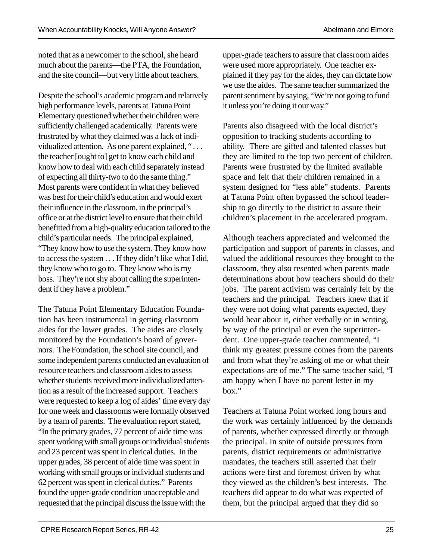noted that as a newcomer to the school, she heard much about the parents— the PTA, the Foundation, and the site council— but very little about teachers.

Despite the school's academic program and relatively high performance levels, parents at Tatuna Point Elementary questioned whether their children were sufficiently challenged academically. Parents were frustrated by what they claimed was a lack of individualized attention. As one parent explained, "... the teacher [ought to] get to know each child and know how to deal with each child separately instead of expecting all thirty-two to do the same thing." Most parents were confident in what they believed was best for their child's education and would exert their influence in the classroom, in the principal's office or at the district level to ensure that their child benefitted from a high-quality education tailored to the child's particular needs. The principal explained, "They know how to use the system. They know how to access the system . . . If they didn't like what I did, they know who to go to. They know who is my boss. They're not shy about calling the superintendent if they have a problem."

The Tatuna Point Elementary Education Foundation has been instrumental in getting classroom aides for the lower grades. The aides are closely monitored by the Foundation's board of governors. The Foundation, the school site council, and some independent parents conducted an evaluation of resource teachers and classroom aides to assess whether students received more individualized attention as a result of the increased support. Teachers were requested to keep a log of aides' time every day for one week and classrooms were formally observed by a team of parents. The evaluation report stated, "In the primary grades, 77 percent of aide time was spent working with small groups or individual students and 23 percent was spent in clerical duties. In the upper grades, 38 percent of aide time was spent in working with small groups or individual students and 62 percent was spent in clerical duties." Parents found the upper-grade condition unacceptable and requested that the principal discuss the issue with the

upper-grade teachers to assure that classroom aides were used more appropriately. One teacher explained if they pay for the aides, they can dictate how we use the aides. The same teacher summarized the parent sentiment by saying, "We're not going to fund it unless you're doing it our way."

Parents also disagreed with the local district's opposition to tracking students according to ability. There are gifted and talented classes but they are limited to the top two percent of children. Parents were frustrated by the limited available space and felt that their children remained in a system designed for "less able" students. Parents at Tatuna Point often bypassed the school leadership to go directly to the district to assure their children's placement in the accelerated program.

Although teachers appreciated and welcomed the participation and support of parents in classes, and valued the additional resources they brought to the classroom, they also resented when parents made determinations about how teachers should do their jobs. The parent activism was certainly felt by the teachers and the principal. Teachers knew that if they were not doing what parents expected, they would hear about it, either verbally or in writing, by way of the principal or even the superintendent. One upper-grade teacher commented, "I think my greatest pressure comes from the parents and from what they're asking of me or what their expectations are of me." The same teacher said, "I am happy when I have no parent letter in my box."

Teachers at Tatuna Point worked long hours and the work was certainly influenced by the demands of parents, whether expressed directly or through the principal. In spite of outside pressures from parents, district requirements or administrative mandates, the teachers still asserted that their actions were first and foremost driven by what they viewed as the children's best interests. The teachers did appear to do what was expected of them, but the principal argued that they did so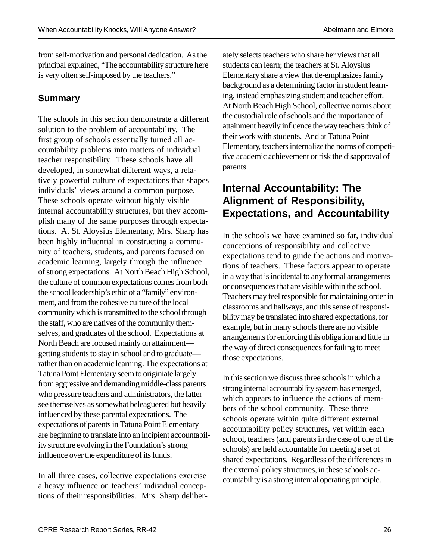from self-motivation and personal dedication. As the principal explained, "The accountability structure here is very often self-imposed by the teachers."

### **Summary**

The schools in this section demonstrate a different solution to the problem of accountability. The first group of schools essentially turned all accountability problems into matters of individual teacher responsibility. These schools have all developed, in somewhat different ways, a relatively powerful culture of expectations that shapes individuals' views around a common purpose. These schools operate without highly visible internal accountability structures, but they accomplish many of the same purposes through expectations. At St. Aloysius Elementary, Mrs. Sharp has been highly influential in constructing a community of teachers, students, and parents focused on academic learning, largely through the influence of strong expectations. At North Beach High School, the culture of common expectations comes from both the school leadership's ethic of a "family" environment, and from the cohesive culture of the local community which is transmitted to the school through the staff, who are natives of the community themselves, and graduates of the school. Expectations at North Beach are focused mainly on attainment getting students to stay in school and to graduate rather than on academic learning. The expectations at Tatuna Point Elementary seem to originiate largely from aggressive and demanding middle-class parents who pressure teachers and administrators, the latter see themselves as somewhat beleaguered but heavily influenced by these parental expectations. The expectations of parents in Tatuna Point Elementary are beginning to translate into an incipient accountability structure evolving in the Foundation's strong influence over the expenditure of its funds.

In all three cases, collective expectations exercise a heavy influence on teachers' individual conceptions of their responsibilities. Mrs. Sharp deliberately selects teachers who share her views that all students can learn; the teachers at St. Aloysius Elementary share a view that de-emphasizes family background as a determining factor in student learning, instead emphasizing student and teacher effort. At North Beach High School, collective norms about the custodial role of schools and the importance of attainment heavily influence the way teachers think of their work with students. And at Tatuna Point Elementary, teachers internalize the norms of competitive academic achievement or risk the disapproval of parents.

## **Internal Accountability: The Alignment of Responsibility, Expectations, and Accountability**

In the schools we have examined so far, individual conceptions of responsibility and collective expectations tend to guide the actions and motivations of teachers. These factors appear to operate in a way that is incidental to any formal arrangements or consequences that are visible within the school. Teachers may feel responsible for maintaining order in classrooms and hallways, and this sense of responsibility may be translated into shared expectations, for example, but in many schools there are no visible arrangements for enforcing this obligation and little in the way of direct consequences for failing to meet those expectations.

In this section we discuss three schools in which a strong internal accountability system has emerged, which appears to influence the actions of members of the school community. These three schools operate within quite different external accountability policy structures, yet within each school, teachers (and parents in the case of one of the schools) are held accountable for meeting a set of shared expectations. Regardless of the differences in the external policy structures, in these schools accountability is a strong internal operating principle.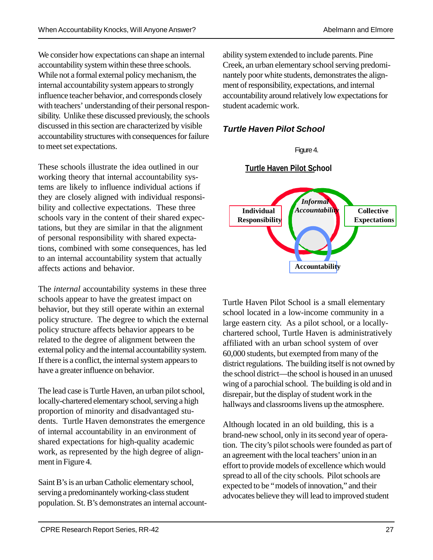We consider how expectations can shape an internal accountability system within these three schools. While not a formal external policy mechanism, the internal accountability system appears to strongly influence teacher behavior, and corresponds closely with teachers' understanding of their personal responsibility. Unlike these discussed previously, the schools discussed in this section are characterized by visible accountability structures with consequences for failure to meet set expectations.

These schools illustrate the idea outlined in our working theory that internal accountability systems are likely to influence individual actions if they are closely aligned with individual responsibility and collective expectations. These three schools vary in the content of their shared expectations, but they are similar in that the alignment of personal responsibility with shared expectations, combined with some consequences, has led to an internal accountability system that actually affects actions and behavior.

The *internal* accountability systems in these three schools appear to have the greatest impact on behavior, but they still operate within an external policy structure. The degree to which the external policy structure affects behavior appears to be related to the degree of alignment between the external policy and the internal accountability system. If there is a conflict, the internal system appears to have a greater influence on behavior.

The lead case is Turtle Haven, an urban pilot school, locally-chartered elementary school, serving a high proportion of minority and disadvantaged students. Turtle Haven demonstrates the emergence of internal accountability in an environment of shared expectations for high-quality academic work, as represented by the high degree of alignment in Figure 4.

Saint B's is an urban Catholic elementary school, serving a predominantely working-class student population. St. B's demonstrates an internal accountability system extended to include parents. Pine Creek, an urban elementary school serving predominantely poor white students, demonstrates the alignment of responsibility, expectations, and internal accountability around relatively low expectations for student academic work.

#### *Turtle Haven Pilot School*

#### Figure 4.

#### **Turtle Haven Pilot School**



Turtle Haven Pilot School is a small elementary school located in a low-income community in a large eastern city. As a pilot school, or a locallychartered school, Turtle Haven is administratively affiliated with an urban school system of over 60,000 students, but exempted from many of the district regulations. The building itself is not owned by the school district— the school is housed in an unused wing of a parochial school. The building is old and in disrepair, but the display of student work in the hallways and classrooms livens up the atmosphere.

Although located in an old building, this is a brand-new school, only in its second year of operation. The city's pilot schools were founded as part of an agreement with the local teachers' union in an effort to provide models of excellence which would spread to all of the city schools. Pilot schools are expected to be "models of innovation," and their advocates believe they will lead to improved student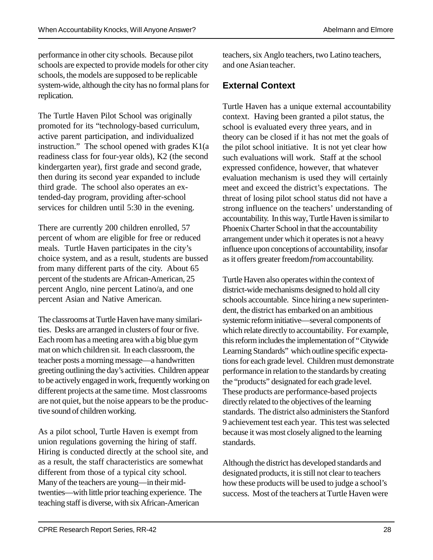performance in other city schools. Because pilot schools are expected to provide models for other city

schools, the models are supposed to be replicable system-wide, although the city has no formal plans for replication.

The Turtle Haven Pilot School was originally promoted for its "technology-based curriculum, active parent participation, and individualized instruction." The school opened with grades  $K1(a)$ readiness class for four-year olds), K2 (the second kindergarten year), first grade and second grade, then during its second year expanded to include third grade. The school also operates an extended-day program, providing after-school services for children until 5:30 in the evening.

There are currently 200 children enrolled, 57 percent of whom are eligible for free or reduced meals. Turtle Haven participates in the city's choice system, and as a result, students are bussed from many different parts of the city. About 65 percent of the students are African-American, 25 percent Anglo, nine percent Latino/a, and one percent Asian and Native American.

The classrooms at Turtle Haven have many similarities. Desks are arranged in clusters of four or five. Each room has a meeting area with a big blue gym mat on which children sit. In each classroom, the teacher posts a morning message— a handwritten greeting outlining the day's activities. Children appear to be actively engaged in work, frequently working on different projects at the same time. Most classrooms are not quiet, but the noise appears to be the productive sound of children working.

As a pilot school, Turtle Haven is exempt from union regulations governing the hiring of staff. Hiring is conducted directly at the school site, and as a result, the staff characteristics are somewhat different from those of a typical city school. Many of the teachers are young—in their midtwenties— with little prior teaching experience. The teaching staff is diverse, with six African-American

teachers, six Anglo teachers, two Latino teachers, and one Asian teacher.

#### **External Context**

Turtle Haven has a unique external accountability context. Having been granted a pilot status, the school is evaluated every three years, and in theory can be closed if it has not met the goals of the pilot school initiative. It is not yet clear how such evaluations will work. Staff at the school expressed confidence, however, that whatever evaluation mechanism is used they will certainly meet and exceed the district's expectations. The threat of losing pilot school status did not have a strong influence on the teachers' understanding of accountability. In this way, Turtle Haven is similar to Phoenix Charter School in that the accountability arrangement under which it operates is not a heavy influence upon conceptions of accountability, insofar as it offers greater freedom *from* accountability.

Turtle Haven also operates within the context of district-wide mechanisms designed to hold all city schools accountable. Since hiring a new superintendent, the district has embarked on an ambitious systemic reform initiative— several components of which relate directly to accountability. For example, this reform includes the implementation of "Citywide Learning Standards" which outline specific expectations for each grade level. Children must demonstrate performance in relation to the standards by creating the "products" designated for each grade level. These products are performance-based projects directly related to the objectives of the learning standards. The district also administers the Stanford 9 achievement test each year. This test was selected because it was most closely aligned to the learning standards.

Although the district has developed standards and designated products, it is still not clear to teachers how these products will be used to judge a school's success. Most of the teachers at Turtle Haven were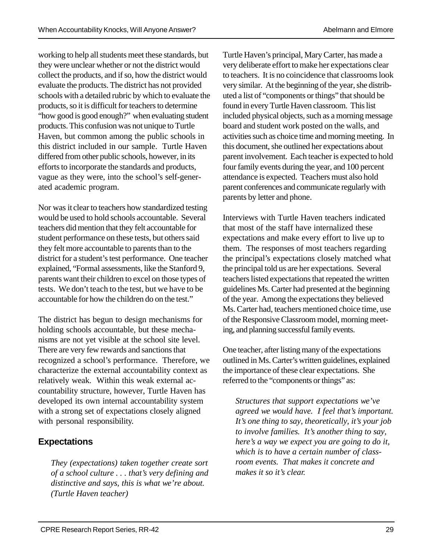working to help all students meet these standards, but they were unclear whether or not the district would collect the products, and if so, how the district would evaluate the products. The district has not provided schools with a detailed rubric by which to evaluate the products, so it is difficult for teachers to determine "how good is good enough?" when evaluating student products. This confusion was not unique to Turtle Haven, but common among the public schools in this district included in our sample. Turtle Haven differed from other public schools, however, in its efforts to incorporate the standards and products, vague as they were, into the school's self-generated academic program.

Nor was it clear to teachers how standardized testing would be used to hold schools accountable. Several teachers did mention that they felt accountable for student performance on these tests, but others said they felt more accountable to parents than to the district for a student's test performance. One teacher explained, "Formal assessments, like the Stanford 9, parents want their children to excel on those types of tests. We don't teach to the test, but we have to be accountable for how the children do on the test."

The district has begun to design mechanisms for holding schools accountable, but these mechanisms are not yet visible at the school site level. There are very few rewards and sanctions that recognized a school's performance. Therefore, we characterize the external accountability context as relatively weak. Within this weak external accountability structure, however, Turtle Haven has developed its own internal accountability system with a strong set of expectations closely aligned with personal responsibility.

### **Expectations**

*They (expectations) taken together create sort of a school culture . . . that's very defining and distinctive and says, this is what we're about. (Turtle Haven teacher)*

Turtle Haven's principal, Mary Carter, has made a very deliberate effort to make her expectations clear to teachers. It is no coincidence that classrooms look very similar. At the beginning of the year, she distributed a list of "components or things" that should be found in every Turtle Haven classroom. This list included physical objects, such as a morning message board and student work posted on the walls, and activities such as choice time and morning meeting. In this document, she outlined her expectations about parent involvement. Each teacher is expected to hold four family events during the year, and 100 percent attendance is expected. Teachers must also hold parent conferences and communicate regularly with parents by letter and phone.

Interviews with Turtle Haven teachers indicated that most of the staff have internalized these expectations and make every effort to live up to them. The responses of most teachers regarding the principal's expectations closely matched what the principal told us are her expectations. Several teachers listed expectations that repeated the written guidelines Ms. Carter had presented at the beginning of the year. Among the expectations they believed Ms. Carter had, teachers mentioned choice time, use of the Responsive Classroom model, morning meeting, and planning successful family events.

One teacher, after listing many of the expectations outlined in Ms. Carter's written guidelines, explained the importance of these clear expectations. She referred to the "components or things" as:

*Structures that support expectations we've agreed we would have. I feel that's important. It's one thing to say, theoretically, it's your job to involve families. It's another thing to say, here's a way we expect you are going to do it, which is to have a certain number of classroom events. That makes it concrete and makes it so it's clear.*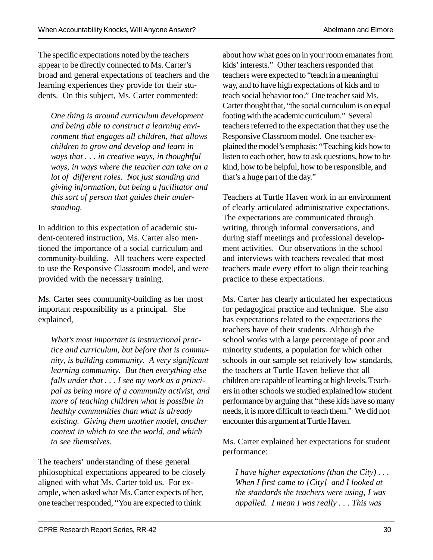The specific expectations noted by the teachers appear to be directly connected to Ms. Carter's broad and general expectations of teachers and the learning experiences they provide for their students. On this subject, Ms. Carter commented:

*One thing is around curriculum development and being able to construct a learning environment that engages all children, that allows children to grow and develop and learn in ways that . . . in creative ways, in thoughtful ways, in ways where the teacher can take on a lot of different roles. Not just standing and giving information, but being a facilitator and this sort of person that guides their understanding.*

In addition to this expectation of academic student-centered instruction, Ms. Carter also mentioned the importance of a social curriculum and community-building. All teachers were expected to use the Responsive Classroom model, and were provided with the necessary training.

Ms. Carter sees community-building as her most important responsibility as a principal. She explained,

*What's most important is instructional practice and curriculum, but before that is community, is building community. A very significant learning community. But then everything else falls under that . . . I see my work as a principal as being more of a community activist, and more of teaching children what is possible in healthy communities than what is already existing. Giving them another model, another context in which to see the world, and which to see themselves.*

The teachers' understanding of these general philosophical expectations appeared to be closely aligned with what Ms. Carter told us. For example, when asked what Ms. Carter expects of her, one teacher responded, "You are expected to think

about how what goes on in your room emanates from kids' interests." Other teachers responded that teachers were expected to "teach in a meaningful way, and to have high expectations of kids and to teach social behavior too." One teacher said Ms. Carter thought that, "the social curriculum is on equal footing with the academic curriculum." Several teachers referred to the expectation that they use the Responsive Classroom model. One teacher explained the model's emphasis: "Teaching kids how to listen to each other, how to ask questions, how to be kind, how to be helpful, how to be responsible, and that's a huge part of the day."

Teachers at Turtle Haven work in an environment of clearly articulated administrative expectations. The expectations are communicated through writing, through informal conversations, and during staff meetings and professional development activities. Our observations in the school and interviews with teachers revealed that most teachers made every effort to align their teaching practice to these expectations.

Ms. Carter has clearly articulated her expectations for pedagogical practice and technique. She also has expectations related to the expectations the teachers have of their students. Although the school works with a large percentage of poor and minority students, a population for which other schools in our sample set relatively low standards, the teachers at Turtle Haven believe that all children are capable of learning at high levels. Teachers in other schools we studied explained low student performance by arguing that "these kids have so many needs, it is more difficult to teach them." We did not encounter this argument at Turtle Haven.

Ms. Carter explained her expectations for student performance:

*I have higher expectations (than the City) . . . When I first came to [City] and I looked at the standards the teachers were using, I was appalled. I mean I was really . . . This was*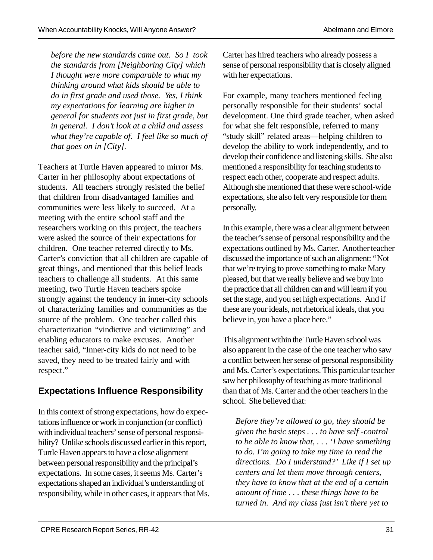*before the new standards came out. So I took the standards from [Neighboring City] which I thought were more comparable to what my thinking around what kids should be able to do in first grade and used those. Yes, I think my expectations for learning are higher in general for students not just in first grade, but in general. I don't look at a child and assess what they're capable of. I feel like so much of that goes on in [City].*

Teachers at Turtle Haven appeared to mirror Ms. Carter in her philosophy about expectations of students. All teachers strongly resisted the belief that children from disadvantaged families and communities were less likely to succeed. At a meeting with the entire school staff and the researchers working on this project, the teachers were asked the source of their expectations for children. One teacher referred directly to Ms. Carter's conviction that all children are capable of great things, and mentioned that this belief leads teachers to challenge all students. At this same meeting, two Turtle Haven teachers spoke strongly against the tendency in inner-city schools of characterizing families and communities as the source of the problem. One teacher called this characterization "vindictive and victimizing" and enabling educators to make excuses. Another teacher said, "Inner-city kids do not need to be saved, they need to be treated fairly and with respect."

## **Expectations Influence Responsibility**

In this context of strong expectations, how do expectations influence or work in conjunction (or conflict) with individual teachers' sense of personal responsibility? Unlike schools discussed earlier in this report, Turtle Haven appears to have a close alignment between personal responsibility and the principal's expectations. In some cases, it seems Ms. Carter's expectations shaped an individual's understanding of responsibility, while in other cases, it appears that Ms. Carter has hired teachers who already possess a sense of personal responsibility that is closely aligned with her expectations.

For example, many teachers mentioned feeling personally responsible for their students' social development. One third grade teacher, when asked for what she felt responsible, referred to many "study skill" related areas— helping children to develop the ability to work independently, and to develop their confidence and listening skills. She also mentioned a responsibility for teaching students to respect each other, cooperate and respect adults. Although she mentioned that these were school-wide expectations, she also felt very responsible for them personally.

In this example, there was a clear alignment between the teacher's sense of personal responsibility and the expectations outlined by Ms. Carter. Another teacher discussed the importance of such an alignment: "Not that we're trying to prove something to make Mary pleased, but that we really believe and we buy into the practice that all children can and will learn if you set the stage, and you set high expectations. And if these are your ideals, not rhetorical ideals, that you believe in, you have a place here."

This alignment within the Turtle Haven school was also apparent in the case of the one teacher who saw a conflict between her sense of personal responsibility and Ms. Carter's expectations. This particular teacher saw her philosophy of teaching as more traditional than that of Ms. Carter and the other teachers in the school. She believed that:

*Before they're allowed to go, they should be given the basic steps . . . to have self -control to be able to know that, . . . 'I have something to do. I'm going to take my time to read the directions. Do I understand?' Like if I set up centers and let them move through centers, they have to know that at the end of a certain amount of time . . . these things have to be turned in. And my class just isn't there yet to*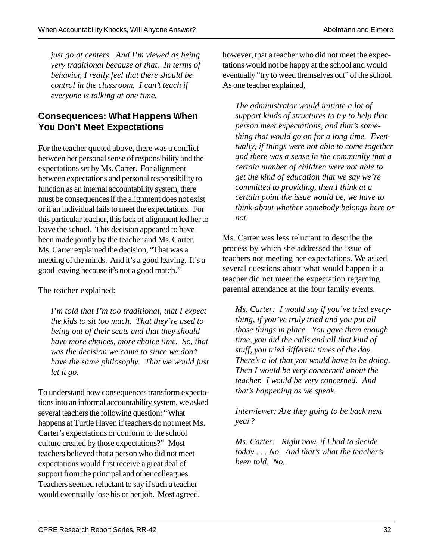*just go at centers. And I'm viewed as being very traditional because of that. In terms of behavior, I really feel that there should be control in the classroom. I can't teach if everyone is talking at one time.*

#### **Consequences: What Happens When You Don't Meet Expectations**

For the teacher quoted above, there was a conflict between her personal sense of responsibility and the expectations set by Ms. Carter. For alignment between expectations and personal responsibility to function as an internal accountability system, there must be consequences if the alignment does not exist or if an individual fails to meet the expectations. For this particular teacher, this lack of alignment led her to leave the school. This decision appeared to have been made jointly by the teacher and Ms. Carter. Ms. Carter explained the decision, "That was a meeting of the minds. And it's a good leaving. It's a good leaving because it's not a good match."

The teacher explained:

*I'm told that I'm too traditional, that I expect the kids to sit too much. That they're used to being out of their seats and that they should have more choices, more choice time. So, that was the decision we came to since we don't have the same philosophy. That we would just let it go.*

To understand how consequences transform expectations into an informal accountability system, we asked several teachers the following question: "What happens at Turtle Haven if teachers do not meet Ms. Carter's expectations or conform to the school culture created by those expectations?" Most teachers believed that a person who did not meet expectations would first receive a great deal of support from the principal and other colleagues. Teachers seemed reluctant to say if such a teacher would eventually lose his or her job. Most agreed,

however, that a teacher who did not meet the expectations would not be happy at the school and would eventually "try to weed themselves out" of the school. As one teacher explained,

*The administrator would initiate a lot of support kinds of structures to try to help that person meet expectations, and that's something that would go on for a long time. Eventually, if things were not able to come together and there was a sense in the community that a certain number of children were not able to get the kind of education that we say we're committed to providing, then I think at a certain point the issue would be, we have to think about whether somebody belongs here or not.*

Ms. Carter was less reluctant to describe the process by which she addressed the issue of teachers not meeting her expectations. We asked several questions about what would happen if a teacher did not meet the expectation regarding parental attendance at the four family events.

*Ms. Carter: I would say if you've tried everything, if you've truly tried and you put all those things in place. You gave them enough time, you did the calls and all that kind of stuff, you tried different times of the day. There's a lot that you would have to be doing. Then I would be very concerned about the teacher. I would be very concerned. And that's happening as we speak.*

*Interviewer: Are they going to be back next year?*

*Ms. Carter: Right now, if I had to decide today . . . No. And that's what the teacher's been told. No.*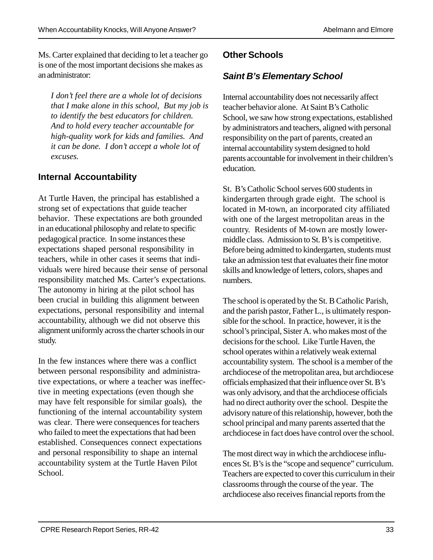Ms. Carter explained that deciding to let a teacher go is one of the most important decisions she makes as an administrator:

*I don't feel there are a whole lot of decisions that I make alone in this school, But my job is to identify the best educators for children. And to hold every teacher accountable for high-quality work for kids and families. And it can be done. I don't accept a whole lot of excuses.*

#### **Internal Accountability**

At Turtle Haven, the principal has established a strong set of expectations that guide teacher behavior. These expectations are both grounded in an educational philosophy and relate to specific pedagogical practice. In some instances these expectations shaped personal responsibility in teachers, while in other cases it seems that individuals were hired because their sense of personal responsibility matched Ms. Carter's expectations. The autonomy in hiring at the pilot school has been crucial in building this alignment between expectations, personal responsibility and internal accountability, although we did not observe this alignment uniformly across the charter schools in our study.

In the few instances where there was a conflict between personal responsibility and administrative expectations, or where a teacher was ineffective in meeting expectations (even though she may have felt responsible for similar goals), the functioning of the internal accountability system was clear. There were consequences for teachers who failed to meet the expectations that had been established. Consequences connect expectations and personal responsibility to shape an internal accountability system at the Turtle Haven Pilot School.

### **Other Schools**

### *Saint B's Elementary School*

Internal accountability does not necessarily affect teacher behavior alone. At Saint B's Catholic School, we saw how strong expectations, established by administrators and teachers, aligned with personal responsibility on the part of parents, created an internal accountability system designed to hold parents accountable for involvement in their children's education.

St. B's Catholic School serves 600 students in kindergarten through grade eight. The school is located in M-town, an incorporated city affiliated with one of the largest metropolitan areas in the country. Residents of M-town are mostly lowermiddle class. Admission to St. B's is competitive. Before being admitted to kindergarten, students must take an admission test that evaluates their fine motor skills and knowledge of letters, colors, shapes and numbers.

The school is operated by the St. B Catholic Parish, and the parish pastor, Father L., is ultimately responsible for the school. In practice, however, it is the school's principal, Sister A. who makes most of the decisions for the school. Like Turtle Haven, the school operates within a relatively weak external accountability system. The school is a member of the archdiocese of the metropolitan area, but archdiocese officials emphasized that their influence over St. B's was only advisory, and that the archdiocese officials had no direct authority over the school. Despite the advisory nature of this relationship, however, both the school principal and many parents asserted that the archdiocese in fact does have control over the school.

The most direct way in which the archdiocese influences St. B's is the "scope and sequence" curriculum. Teachers are expected to cover this curriculum in their classrooms through the course of the year. The archdiocese also receives financial reports from the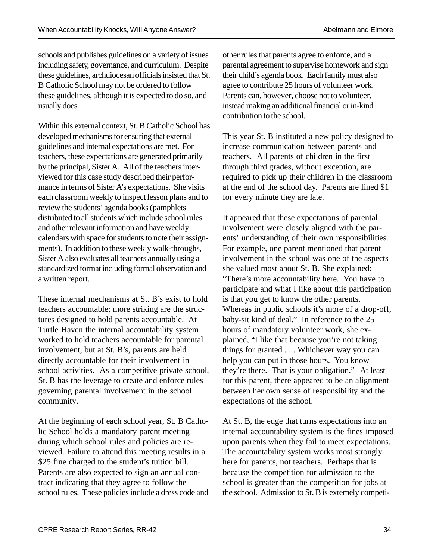schools and publishes guidelines on a variety of issues including safety, governance, and curriculum. Despite these guidelines, archdiocesan officials insisted that St. B Catholic School may not be ordered to follow these guidelines, although it is expected to do so, and usually does.

Within this external context, St. B Catholic School has developed mechanisms for ensuring that external guidelines and internal expectations are met. For teachers, these expectations are generated primarily by the principal, Sister A. All of the teachers interviewed for this case study described their performance in terms of Sister A's expectations. She visits each classroom weekly to inspect lesson plans and to review the students' agenda books (pamphlets distributed to all students which include school rules and other relevant information and have weekly calendars with space for students to note their assignments). In addition to these weekly walk-throughs, Sister A also evaluates all teachers annually using a standardized format including formal observation and a written report.

These internal mechanisms at St. B's exist to hold teachers accountable; more striking are the structures designed to hold parents accountable. At Turtle Haven the internal accountability system worked to hold teachers accountable for parental involvement, but at St. B's, parents are held directly accountable for their involvement in school activities. As a competitive private school, St. B has the leverage to create and enforce rules governing parental involvement in the school community.

At the beginning of each school year, St. B Catholic School holds a mandatory parent meeting during which school rules and policies are reviewed. Failure to attend this meeting results in a \$25 fine charged to the student's tuition bill. Parents are also expected to sign an annual contract indicating that they agree to follow the school rules. These policies include a dress code and other rules that parents agree to enforce, and a parental agreement to supervise homework and sign their child's agenda book. Each family must also agree to contribute 25 hours of volunteer work. Parents can, however, choose not to volunteer, instead making an additional financial or in-kind contribution to the school.

This year St. B instituted a new policy designed to increase communication between parents and teachers. All parents of children in the first through third grades, without exception, are required to pick up their children in the classroom at the end of the school day. Parents are fined \$1 for every minute they are late.

It appeared that these expectations of parental involvement were closely aligned with the parents' understanding of their own responsibilities. For example, one parent mentioned that parent involvement in the school was one of the aspects she valued most about St. B. She explained: "There's more accountability here. You have to participate and what I like about this participation is that you get to know the other parents. Whereas in public schools it's more of a drop-off, baby-sit kind of deal." In reference to the 25 hours of mandatory volunteer work, she explained, "I like that because you're not taking things for granted . . . Whichever way you can help you can put in those hours. You know they're there. That is your obligation." At least for this parent, there appeared to be an alignment between her own sense of responsibility and the expectations of the school.

At St. B, the edge that turns expectations into an internal accountability system is the fines imposed upon parents when they fail to meet expectations. The accountability system works most strongly here for parents, not teachers. Perhaps that is because the competition for admission to the school is greater than the competition for jobs at the school. Admission to St. B is extemely competi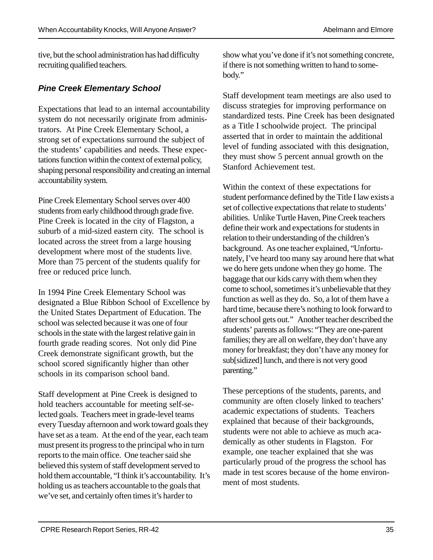tive, but the school administration has had difficulty recruiting qualified teachers.

#### *Pine Creek Elementary School*

Expectations that lead to an internal accountability system do not necessarily originate from administrators. At Pine Creek Elementary School, a strong set of expectations surround the subject of the students' capabilities and needs. These expectations function within the context of external policy, shaping personal responsibility and creating an internal accountability system.

Pine Creek Elementary School serves over 400 students from early childhood through grade five. Pine Creek is located in the city of Flagston, a suburb of a mid-sized eastern city. The school is located across the street from a large housing development where most of the students live. More than 75 percent of the students qualify for free or reduced price lunch.

In 1994 Pine Creek Elementary School was designated a Blue Ribbon School of Excellence by the United States Department of Education. The school was selected because it was one of four schools in the state with the largest relative gain in fourth grade reading scores. Not only did Pine Creek demonstrate significant growth, but the school scored significantly higher than other schools in its comparison school band.

Staff development at Pine Creek is designed to hold teachers accountable for meeting self-selected goals. Teachers meet in grade-level teams every Tuesday afternoon and work toward goals they have set as a team. At the end of the year, each team must present its progress to the principal who in turn reports to the main office. One teacher said she believed this system of staff development served to hold them accountable, "I think it's accountability. It's holding us as teachers accountable to the goals that we've set, and certainly often times it's harder to

show what you've done if it's not something concrete, if there is not something written to hand to somebody."

Staff development team meetings are also used to discuss strategies for improving performance on standardized tests. Pine Creek has been designated as a Title I schoolwide project. The principal asserted that in order to maintain the additional level of funding associated with this designation, they must show 5 percent annual growth on the Stanford Achievement test.

Within the context of these expectations for student performance defined by the Title I law exists a set of collective expectations that relate to students' abilities. Unlike Turtle Haven, Pine Creek teachers define their work and expectations for students in relation to their understanding of the children's background. As one teacher explained, "Unfortunately, I've heard too many say around here that what we do here gets undone when they go home. The baggage that our kids carry with them when they come to school, sometimes it's unbelievable that they function as well as they do. So, a lot of them have a hard time, because there's nothing to look forward to after school gets out." Another teacher described the students' parents as follows: "They are one-parent families; they are all on welfare, they don't have any money for breakfast; they don't have any money for sub[sidized] lunch, and there is not very good parenting."

These perceptions of the students, parents, and community are often closely linked to teachers' academic expectations of students. Teachers explained that because of their backgrounds, students were not able to achieve as much academically as other students in Flagston. For example, one teacher explained that she was particularly proud of the progress the school has made in test scores because of the home environment of most students.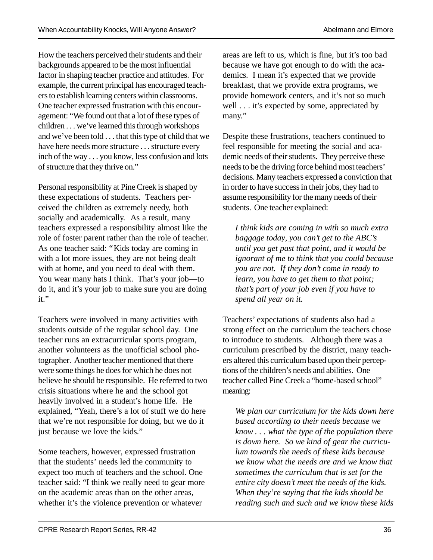How the teachers perceived their students and their backgrounds appeared to be the most influential factor in shaping teacher practice and attitudes. For example, the current principal has encouraged teachers to establish learning centers within classrooms. One teacher expressed frustration with this encouragement: "We found out that a lot of these types of children . . . we've learned this through workshops and we've been told . . . that this type of child that we have here needs more structure . . . structure every inch of the way . . . you know, less confusion and lots of structure that they thrive on."

Personal responsibility at Pine Creek is shaped by these expectations of students. Teachers perceived the children as extremely needy, both socially and academically. As a result, many teachers expressed a responsibility almost like the role of foster parent rather than the role of teacher. As one teacher said: "Kids today are coming in with a lot more issues, they are not being dealt with at home, and you need to deal with them. You wear many hats I think. That's your job—to do it, and it's your job to make sure you are doing it."

Teachers were involved in many activities with students outside of the regular school day. One teacher runs an extracurricular sports program, another volunteers as the unofficial school photographer. Another teacher mentioned that there were some things he does for which he does not believe he should be responsible. He referred to two crisis situations where he and the school got heavily involved in a student's home life. He explained, "Yeah, there's a lot of stuff we do here that we're not responsible for doing, but we do it just because we love the kids."

Some teachers, however, expressed frustration that the students' needs led the community to expect too much of teachers and the school. One teacher said: "I think we really need to gear more on the academic areas than on the other areas, whether it's the violence prevention or whatever

areas are left to us, which is fine, but it's too bad because we have got enough to do with the academics. I mean it's expected that we provide breakfast, that we provide extra programs, we provide homework centers, and it's not so much well . . . it's expected by some, appreciated by many."

Despite these frustrations, teachers continued to feel responsible for meeting the social and academic needs of their students. They perceive these needs to be the driving force behind most teachers' decisions. Many teachers expressed a conviction that in order to have success in their jobs, they had to assume responsibility for the many needs of their students. One teacher explained:

*I think kids are coming in with so much extra baggage today, you can't get to the ABC's until you get past that point, and it would be ignorant of me to think that you could because you are not. If they don't come in ready to learn, you have to get them to that point; that's part of your job even if you have to spend all year on it.*

Teachers' expectations of students also had a strong effect on the curriculum the teachers chose to introduce to students. Although there was a curriculum prescribed by the district, many teachers altered this curriculum based upon their perceptions of the children's needs and abilities. One teacher called Pine Creek a "home-based school" meaning:

*We plan our curriculum for the kids down here based according to their needs because we know . . . what the type of the population there is down here. So we kind of gear the curriculum towards the needs of these kids because we know what the needs are and we know that sometimes the curriculum that is set for the entire city doesn't meet the needs of the kids. When they're saying that the kids should be reading such and such and we know these kids*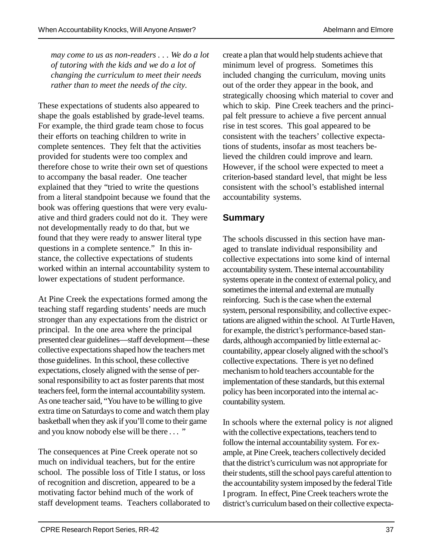*may come to us as non-readers . . . We do a lot of tutoring with the kids and we do a lot of changing the curriculum to meet their needs rather than to meet the needs of the city.*

These expectations of students also appeared to shape the goals established by grade-level teams. For example, the third grade team chose to focus their efforts on teaching children to write in complete sentences. They felt that the activities provided for students were too complex and therefore chose to write their own set of questions to accompany the basal reader. One teacher explained that they "tried to write the questions from a literal standpoint because we found that the book was offering questions that were very evaluative and third graders could not do it. They were not developmentally ready to do that, but we found that they were ready to answer literal type questions in a complete sentence." In this instance, the collective expectations of students worked within an internal accountability system to lower expectations of student performance.

At Pine Creek the expectations formed among the teaching staff regarding students' needs are much stronger than any expectations from the district or principal. In the one area where the principal presented clear guidelines— staff development— these collective expectations shaped how the teachers met those guidelines. In this school, these collective expectations, closely aligned with the sense of personal responsibility to act as foster parents that most teachers feel, form the internal accountability system. As one teacher said, "You have to be willing to give extra time on Saturdays to come and watch them play basketball when they ask if you'll come to their game and you know nobody else will be there . . . "

The consequences at Pine Creek operate not so much on individual teachers, but for the entire school. The possible loss of Title I status, or loss of recognition and discretion, appeared to be a motivating factor behind much of the work of staff development teams. Teachers collaborated to create a plan that would help students achieve that minimum level of progress. Sometimes this included changing the curriculum, moving units out of the order they appear in the book, and strategically choosing which material to cover and which to skip. Pine Creek teachers and the principal felt pressure to achieve a five percent annual rise in test scores. This goal appeared to be consistent with the teachers' collective expectations of students, insofar as most teachers believed the children could improve and learn. However, if the school were expected to meet a criterion-based standard level, that might be less consistent with the school's established internal accountability systems.

#### **Summary**

The schools discussed in this section have managed to translate individual responsibility and collective expectations into some kind of internal accountability system. These internal accountability systems operate in the context of external policy, and sometimes the internal and external are mutually reinforcing. Such is the case when the external system, personal responsibility, and collective expectations are aligned within the school. At Turtle Haven, for example, the district's performance-based standards, although accompanied by little external accountability, appear closely aligned with the school's collective expectations. There is yet no defined mechanism to hold teachers accountable for the implementation of these standards, but this external policy has been incorporated into the internal accountability system.

In schools where the external policy is *not* aligned with the collective expectations, teachers tend to follow the internal accountability system. For example, at Pine Creek, teachers collectively decided that the district's curriculum was not appropriate for their students, still the school pays careful attention to the accountability system imposed by the federal Title I program. In effect, Pine Creek teachers wrote the district's curriculum based on their collective expecta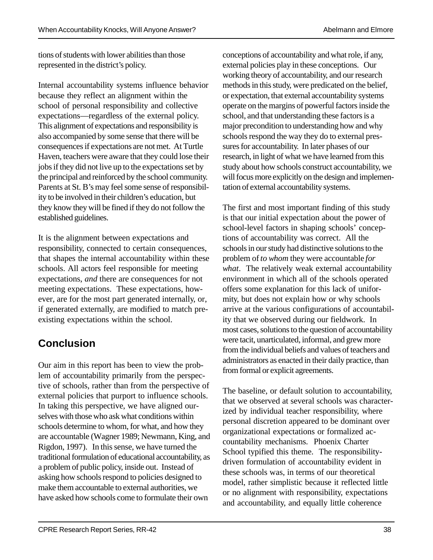tions of students with lower abilities than those represented in the district's policy.

Internal accountability systems influence behavior because they reflect an alignment within the school of personal responsibility and collective expectations— regardless of the external policy. This alignment of expectations and responsibility is also accompanied by some sense that there will be consequences if expectations are not met. At Turtle Haven, teachers were aware that they could lose their jobs if they did not live up to the expectations set by the principal and reinforced by the school community. Parents at St. B's may feel some sense of responsibility to be involved in their children's education, but they know they will be fined if they do not follow the established guidelines.

It is the alignment between expectations and responsibility, connected to certain consequences, that shapes the internal accountability within these schools. All actors feel responsible for meeting expectations, *and* there are consequences for not meeting expectations. These expectations, however, are for the most part generated internally, or, if generated externally, are modified to match preexisting expectations within the school.

# **Conclusion**

Our aim in this report has been to view the problem of accountability primarily from the perspective of schools, rather than from the perspective of external policies that purport to influence schools. In taking this perspective, we have aligned ourselves with those who ask what conditions within schools determine to whom, for what, and how they are accountable (Wagner 1989; Newmann, King, and Rigdon, 1997). In this sense, we have turned the traditional formulation of educational accountability, as a problem of public policy, inside out. Instead of asking how schools respond to policies designed to make them accountable to external authorities, we have asked how schools come to formulate their own

conceptions of accountability and what role, if any, external policies play in these conceptions. Our working theory of accountability, and our research methods in this study, were predicated on the belief, or expectation, that external accountability systems operate on the margins of powerful factors inside the school, and that understanding these factors is a major precondition to understanding how and why schools respond the way they do to external pressures for accountability. In later phases of our research, in light of what we have learned from this study about how schools construct accountability, we will focus more explicitly on the design and implementation of external accountability systems.

The first and most important finding of this study is that our initial expectation about the power of school-level factors in shaping schools' conceptions of accountability was correct. All the schools in our study had distinctive solutions to the problem of *to whom* they were accountable *for what*. The relatively weak external accountability environment in which all of the schools operated offers some explanation for this lack of uniformity, but does not explain how or why schools arrive at the various configurations of accountability that we observed during our fieldwork. In most cases, solutions to the question of accountability were tacit, unarticulated, informal, and grew more from the individual beliefs and values of teachers and administrators as enacted in their daily practice, than from formal or explicit agreements.

The baseline, or default solution to accountability, that we observed at several schools was characterized by individual teacher responsibility, where personal discretion appeared to be dominant over organizational expectations or formalized accountability mechanisms. Phoenix Charter School typified this theme. The responsibilitydriven formulation of accountability evident in these schools was, in terms of our theoretical model, rather simplistic because it reflected little or no alignment with responsibility, expectations and accountability, and equally little coherence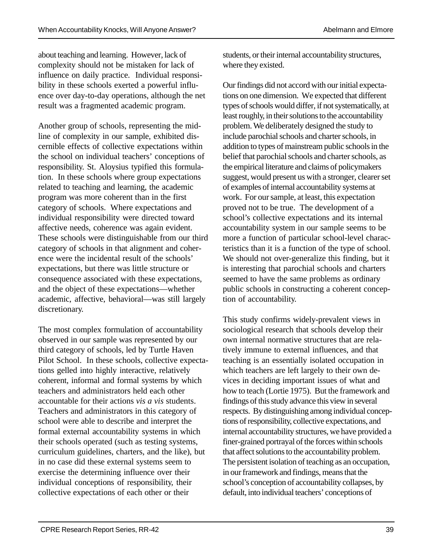about teaching and learning. However, lack of complexity should not be mistaken for lack of influence on daily practice. Individual responsibility in these schools exerted a powerful influence over day-to-day operations, although the net result was a fragmented academic program.

Another group of schools, representing the midline of complexity in our sample, exhibited discernible effects of collective expectations within the school on individual teachers' conceptions of responsibility. St. Aloysius typified this formulation. In these schools where group expectations related to teaching and learning, the academic program was more coherent than in the first category of schools. Where expectations and individual responsibility were directed toward affective needs, coherence was again evident. These schools were distinguishable from our third category of schools in that alignment and coherence were the incidental result of the schools' expectations, but there was little structure or consequence associated with these expectations, and the object of these expectations— whether academic, affective, behavioral— was still largely discretionary.

The most complex formulation of accountability observed in our sample was represented by our third category of schools, led by Turtle Haven Pilot School. In these schools, collective expectations gelled into highly interactive, relatively coherent, informal and formal systems by which teachers and administrators held each other accountable for their actions *vis a vis* students. Teachers and administrators in this category of school were able to describe and interpret the formal external accountability systems in which their schools operated (such as testing systems, curriculum guidelines, charters, and the like), but in no case did these external systems seem to exercise the determining influence over their individual conceptions of responsibility, their collective expectations of each other or their

students, or their internal accountability structures, where they existed.

Our findings did not accord with our initial expectations on one dimension. We expected that different types of schools would differ, if not systematically, at least roughly, in their solutions to the accountability problem. We deliberately designed the study to include parochial schools and charter schools, in addition to types of mainstream public schools in the belief that parochial schools and charter schools, as the empirical literature and claims of policymakers suggest, would present us with a stronger, clearer set of examples of internal accountability systems at work. For our sample, at least, this expectation proved not to be true. The development of a school's collective expectations and its internal accountability system in our sample seems to be more a function of particular school-level characteristics than it is a function of the type of school. We should not over-generalize this finding, but it is interesting that parochial schools and charters seemed to have the same problems as ordinary public schools in constructing a coherent conception of accountability.

This study confirms widely-prevalent views in sociological research that schools develop their own internal normative structures that are relatively immune to external influences, and that teaching is an essentially isolated occupation in which teachers are left largely to their own devices in deciding important issues of what and how to teach (Lortie 1975). But the framework and findings of this study advance this view in several respects. By distinguishing among individual conceptions of responsibility, collective expectations, and internal accountability structures, we have provided a finer-grained portrayal of the forces within schools that affect solutions to the accountability problem. The persistent isolation of teaching as an occupation, in our framework and findings, means that the school's conception of accountability collapses, by default, into individual teachers' conceptions of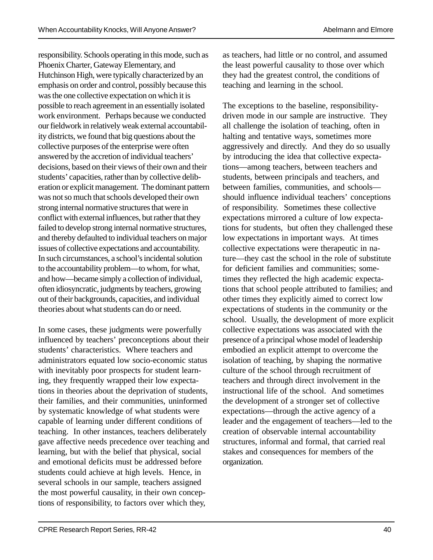responsibility. Schools operating in this mode, such as Phoenix Charter, Gateway Elementary, and Hutchinson High, were typically characterized by an emphasis on order and control, possibly because this was the one collective expectation on which it is possible to reach agreement in an essentially isolated work environment. Perhaps because we conducted our fieldwork in relatively weak external accountability districts, we found that big questions about the collective purposes of the enterprise were often answered by the accretion of individual teachers' decisions, based on their views of their own and their students' capacities, rather than by collective deliberation or explicit management. The dominant pattern was not so much that schools developed their own strong internal normative structures that were in conflict with external influences, but rather that they failed to develop strong internal normative structures, and thereby defaulted to individual teachers on major issues of collective expectations and accountability. In such circumstances, a school's incidental solution to the accountability problem— to whom, for what, and how— became simply a collection of individual, often idiosyncratic, judgments by teachers, growing out of their backgrounds, capacities, and individual theories about what students can do or need.

In some cases, these judgments were powerfully influenced by teachers' preconceptions about their students' characteristics. Where teachers and administrators equated low socio-economic status with inevitably poor prospects for student learning, they frequently wrapped their low expectations in theories about the deprivation of students, their families, and their communities, uninformed by systematic knowledge of what students were capable of learning under different conditions of teaching. In other instances, teachers deliberately gave affective needs precedence over teaching and learning, but with the belief that physical, social and emotional deficits must be addressed before students could achieve at high levels. Hence, in several schools in our sample, teachers assigned the most powerful causality, in their own conceptions of responsibility, to factors over which they,

as teachers, had little or no control, and assumed the least powerful causality to those over which they had the greatest control, the conditions of teaching and learning in the school.

The exceptions to the baseline, responsibilitydriven mode in our sample are instructive. They all challenge the isolation of teaching, often in halting and tentative ways, sometimes more aggressively and directly. And they do so usually by introducing the idea that collective expectations— among teachers, between teachers and students, between principals and teachers, and between families, communities, and schools should influence individual teachers' conceptions of responsibility. Sometimes these collective expectations mirrored a culture of low expectations for students, but often they challenged these low expectations in important ways. At times collective expectations were therapeutic in nature— they cast the school in the role of substitute for deficient families and communities; sometimes they reflected the high academic expectations that school people attributed to families; and other times they explicitly aimed to correct low expectations of students in the community or the school. Usually, the development of more explicit collective expectations was associated with the presence of a principal whose model of leadership embodied an explicit attempt to overcome the isolation of teaching, by shaping the normative culture of the school through recruitment of teachers and through direct involvement in the instructional life of the school. And sometimes the development of a stronger set of collective expectations— through the active agency of a leader and the engagement of teachers— led to the creation of observable internal accountability structures, informal and formal, that carried real stakes and consequences for members of the organization.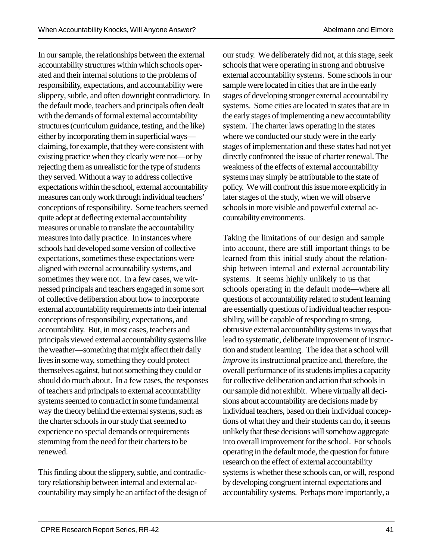In our sample, the relationships between the external accountability structures within which schools operated and their internal solutions to the problems of responsibility, expectations, and accountability were slippery, subtle, and often downright contradictory. In the default mode, teachers and principals often dealt with the demands of formal external accountability structures (curriculum guidance, testing, and the like) either by incorporating them in superficial ways claiming, for example, that they were consistent with existing practice when they clearly were not— or by rejecting them as unrealistic for the type of students they served. Without a way to address collective expectations within the school, external accountability measures can only work through individual teachers' conceptions of responsibility. Some teachers seemed quite adept at deflecting external accountability measures or unable to translate the accountability measures into daily practice. In instances where schools had developed some version of collective expectations, sometimes these expectations were aligned with external accountability systems, and sometimes they were not. In a few cases, we witnessed principals and teachers engaged in some sort of collective deliberation about how to incorporate external accountability requirements into their internal conceptions of responsibility, expectations, and accountability. But, in most cases, teachers and principals viewed external accountability systems like the weather— something that might affect their daily lives in some way, something they could protect themselves against, but not something they could or should do much about. In a few cases, the responses of teachers and principals to external accountability systems seemed to contradict in some fundamental way the theory behind the external systems, such as the charter schools in our study that seemed to experience no special demands or requirements stemming from the need for their charters to be renewed.

This finding about the slippery, subtle, and contradictory relationship between internal and external accountability may simply be an artifact of the design of our study. We deliberately did not, at this stage, seek schools that were operating in strong and obtrusive external accountability systems. Some schools in our sample were located in cities that are in the early stages of developing stronger external accountability systems. Some cities are located in states that are in the early stages of implementing a new accountability system. The charter laws operating in the states where we conducted our study were in the early stages of implementation and these states had not yet directly confronted the issue of charter renewal. The weakness of the effects of external accountability systems may simply be attributable to the state of policy. We will confront this issue more explicitly in later stages of the study, when we will observe schools in more visible and powerful external accountability environments.

Taking the limitations of our design and sample into account, there are still important things to be learned from this initial study about the relationship between internal and external accountability systems. It seems highly unlikely to us that schools operating in the default mode— where all questions of accountability related to student learning are essentially questions of individual teacher responsibility, will be capable of responding to strong, obtrusive external accountability systems in ways that lead to systematic, deliberate improvement of instruction and student learning. The idea that a school will *improve* its instructional practice and, therefore, the overall performance of its students implies a capacity for collective deliberation and action that schools in our sample did not exhibit. Where virtually all decisions about accountability are decisions made by individual teachers, based on their individual conceptions of what they and their students can do, it seems unlikely that these decisions will somehow aggregate into overall improvement for the school. For schools operating in the default mode, the question for future research on the effect of external accountability systems is whether these schools can, or will, respond by developing congruent internal expectations and accountability systems. Perhaps more importantly, a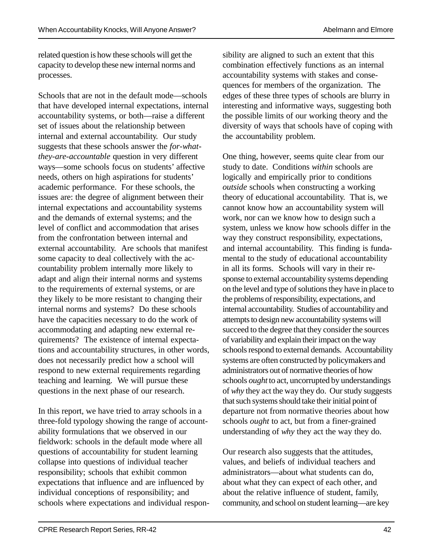related question is how these schools will get the capacity to develop these new internal norms and processes.

Schools that are not in the default mode— schools that have developed internal expectations, internal accountability systems, or both— raise a different set of issues about the relationship between internal and external accountability. Our study suggests that these schools answer the *for-whatthey-are-accountable* question in very different ways— some schools focus on students' affective needs, others on high aspirations for students' academic performance. For these schools, the issues are: the degree of alignment between their internal expectations and accountability systems and the demands of external systems; and the level of conflict and accommodation that arises from the confrontation between internal and external accountability. Are schools that manifest some capacity to deal collectively with the accountability problem internally more likely to adapt and align their internal norms and systems to the requirements of external systems, or are they likely to be more resistant to changing their internal norms and systems? Do these schools have the capacities necessary to do the work of accommodating and adapting new external requirements? The existence of internal expectations and accountability structures, in other words, does not necessarily predict how a school will respond to new external requirements regarding teaching and learning. We will pursue these questions in the next phase of our research.

In this report, we have tried to array schools in a three-fold typology showing the range of accountability formulations that we observed in our fieldwork: schools in the default mode where all questions of accountability for student learning collapse into questions of individual teacher responsibility; schools that exhibit common expectations that influence and are influenced by individual conceptions of responsibility; and schools where expectations and individual responsibility are aligned to such an extent that this combination effectively functions as an internal accountability systems with stakes and consequences for members of the organization. The edges of these three types of schools are blurry in interesting and informative ways, suggesting both the possible limits of our working theory and the diversity of ways that schools have of coping with the accountability problem.

One thing, however, seems quite clear from our study to date. Conditions *within* schools are logically and empirically prior to conditions *outside* schools when constructing a working theory of educational accountability. That is, we cannot know how an accountability system will work, nor can we know how to design such a system, unless we know how schools differ in the way they construct responsibility, expectations, and internal accountability. This finding is fundamental to the study of educational accountability in all its forms. Schools will vary in their response to external accountability systems depending on the level and type of solutions they have in place to the problems of responsibility, expectations, and internal accountability. Studies of accountability and attempts to design new accountability systems will succeed to the degree that they consider the sources of variability and explain their impact on the way schools respond to external demands. Accountability systems are often constructed by policymakers and administrators out of normative theories of how schools *ought* to act, uncorrupted by understandings of *why* they act the way they do. Our study suggests that such systems should take their initial point of departure not from normative theories about how schools *ought* to act, but from a finer-grained understanding of *why* they act the way they do.

Our research also suggests that the attitudes, values, and beliefs of individual teachers and administrators— about what students can do, about what they can expect of each other, and about the relative influence of student, family, community, and school on student learning— are key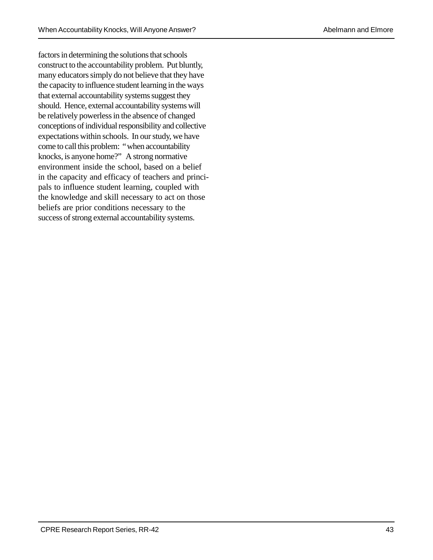factors in determining the solutions that schools construct to the accountability problem. Put bluntly, many educators simply do not believe that they have the capacity to influence student learning in the ways that external accountability systems suggest they should. Hence, external accountability systems will be relatively powerless in the absence of changed conceptions of individual responsibility and collective expectations within schools. In our study, we have come to call this problem: "when accountability knocks, is anyone home?" A strong normative environment inside the school, based on a belief in the capacity and efficacy of teachers and principals to influence student learning, coupled with the knowledge and skill necessary to act on those beliefs are prior conditions necessary to the success of strong external accountability systems.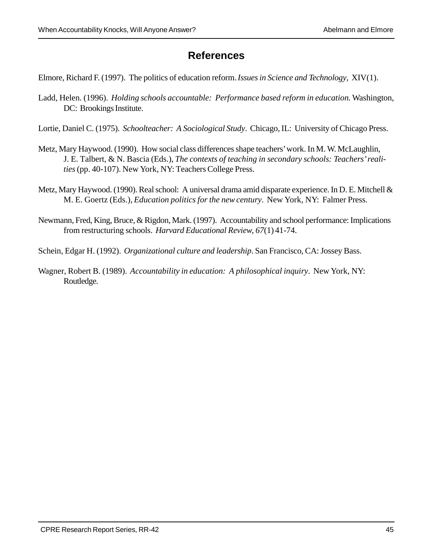## **References**

Elmore, Richard F. (1997). The politics of education reform. *Issues in Science and Technology,* XIV(1).

- Ladd, Helen. (1996). *Holding schools accountable: Performance based reform in education.* Washington, DC: Brookings Institute.
- Lortie, Daniel C. (1975). *Schoolteacher: A Sociological Study*. Chicago, IL: University of Chicago Press.
- Metz, Mary Haywood. (1990). How social class differences shape teachers' work. In M. W. McLaughlin, J. E. Talbert, & N. Bascia (Eds.), *The contexts of teaching in secondary schools: Teachers' realities* (pp. 40-107). New York, NY: Teachers College Press.
- Metz, Mary Haywood. (1990). Real school: A universal drama amid disparate experience. In D. E. Mitchell & M. E. Goertz (Eds.), *Education politics for the new century*. New York, NY: Falmer Press.
- Newmann, Fred, King, Bruce, & Rigdon, Mark. (1997). Accountability and school performance: Implications from restructuring schools. *Harvard Educational Review*, *67*(1) 41-74.
- Schein, Edgar H. (1992). *Organizational culture and leadership*. San Francisco, CA: Jossey Bass.
- Wagner, Robert B. (1989). *Accountability in education: A philosophical inquiry*. New York, NY: Routledge.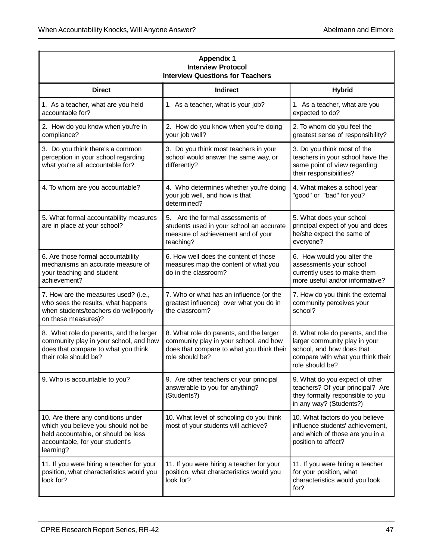| <b>Appendix 1</b><br><b>Interview Protocol</b><br><b>Interview Questions for Teachers</b>                                                                        |                                                                                                                                                   |                                                                                                                                                        |  |  |
|------------------------------------------------------------------------------------------------------------------------------------------------------------------|---------------------------------------------------------------------------------------------------------------------------------------------------|--------------------------------------------------------------------------------------------------------------------------------------------------------|--|--|
| <b>Direct</b>                                                                                                                                                    | <b>Indirect</b>                                                                                                                                   | <b>Hybrid</b>                                                                                                                                          |  |  |
| 1. As a teacher, what are you held<br>accountable for?                                                                                                           | 1. As a teacher, what is your job?                                                                                                                | 1. As a teacher, what are you<br>expected to do?                                                                                                       |  |  |
| 2. How do you know when you're in<br>compliance?                                                                                                                 | 2. How do you know when you're doing<br>your job well?                                                                                            | 2. To whom do you feel the<br>greatest sense of responsibility?                                                                                        |  |  |
| 3. Do you think there's a common<br>perception in your school regarding<br>what you're all accountable for?                                                      | 3. Do you think most teachers in your<br>school would answer the same way, or<br>differently?                                                     | 3. Do you think most of the<br>teachers in your school have the<br>same point of view regarding<br>their responsibilities?                             |  |  |
| 4. To whom are you accountable?                                                                                                                                  | 4. Who determines whether you're doing<br>your job well, and how is that<br>determined?                                                           | 4. What makes a school year<br>"good" or "bad" for you?                                                                                                |  |  |
| 5. What formal accountability measures<br>are in place at your school?                                                                                           | 5. Are the formal assessments of<br>students used in your school an accurate<br>measure of achievement and of your<br>teaching?                   | 5. What does your school<br>principal expect of you and does<br>he/she expect the same of<br>everyone?                                                 |  |  |
| 6. Are those formal accountability<br>mechanisms an accurate measure of<br>your teaching and student<br>achievement?                                             | 6. How well does the content of those<br>measures map the content of what you<br>do in the classroom?                                             | 6. How would you alter the<br>assessments your school<br>currently uses to make them<br>more useful and/or informative?                                |  |  |
| 7. How are the measures used? (i.e.,<br>who sees the results, what happens<br>when students/teachers do well/poorly<br>on these measures)?                       | 7. Who or what has an influence (or the<br>greatest influence) over what you do in<br>the classroom?                                              | 7. How do you think the external<br>community perceives your<br>school?                                                                                |  |  |
| 8. What role do parents, and the larger<br>community play in your school, and how<br>does that compare to what you think<br>their role should be?                | 8. What role do parents, and the larger<br>community play in your school, and how<br>does that compare to what you think their<br>role should be? | 8. What role do parents, and the<br>larger community play in your<br>school, and how does that<br>compare with what you think their<br>role should be? |  |  |
| 9. Who is accountable to you?                                                                                                                                    | 9. Are other teachers or your principal<br>answerable to you for anything?<br>(Students?)                                                         | 9. What do you expect of other<br>teachers? Of your principal? Are<br>they formally responsible to you<br>in any way? (Students?)                      |  |  |
| 10. Are there any conditions under<br>which you believe you should not be<br>held accountable, or should be less<br>accountable, for your student's<br>learning? | 10. What level of schooling do you think<br>most of your students will achieve?                                                                   | 10. What factors do you believe<br>influence students' achievement,<br>and which of those are you in a<br>position to affect?                          |  |  |
| 11. If you were hiring a teacher for your<br>position, what characteristics would you<br>look for?                                                               | 11. If you were hiring a teacher for your<br>position, what characteristics would you<br>look for?                                                | 11. If you were hiring a teacher<br>for your position, what<br>characteristics would you look<br>for?                                                  |  |  |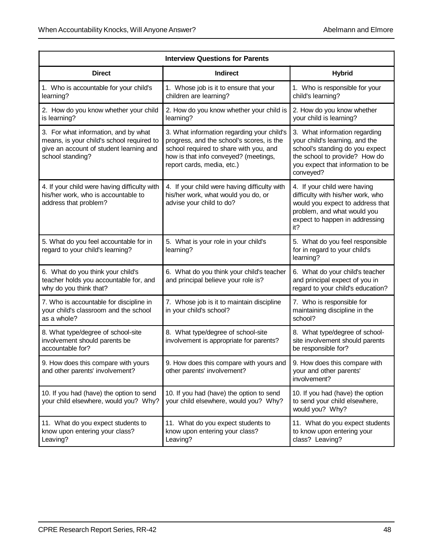| <b>Interview Questions for Parents</b>                                                                                                           |                                                                                                                                                                                                          |                                                                                                                                                                                       |  |  |
|--------------------------------------------------------------------------------------------------------------------------------------------------|----------------------------------------------------------------------------------------------------------------------------------------------------------------------------------------------------------|---------------------------------------------------------------------------------------------------------------------------------------------------------------------------------------|--|--|
| <b>Direct</b>                                                                                                                                    | <b>Indirect</b>                                                                                                                                                                                          | <b>Hybrid</b>                                                                                                                                                                         |  |  |
| 1. Who is accountable for your child's<br>learning?                                                                                              | 1. Whose job is it to ensure that your<br>children are learning?                                                                                                                                         | 1. Who is responsible for your<br>child's learning?                                                                                                                                   |  |  |
| 2. How do you know whether your child<br>is learning?                                                                                            | 2. How do you know whether your child is<br>learning?                                                                                                                                                    | 2. How do you know whether<br>your child is learning?                                                                                                                                 |  |  |
| 3. For what information, and by what<br>means, is your child's school required to<br>give an account of student learning and<br>school standing? | 3. What information regarding your child's<br>progress, and the school's scores, is the<br>school required to share with you, and<br>how is that info conveyed? (meetings,<br>report cards, media, etc.) | 3. What information regarding<br>your child's learning, and the<br>school's standing do you expect<br>the school to provide? How do<br>you expect that information to be<br>conveyed? |  |  |
| 4. If your child were having difficulty with<br>his/her work, who is accountable to<br>address that problem?                                     | 4. If your child were having difficulty with<br>his/her work, what would you do, or<br>advise your child to do?                                                                                          | 4. If your child were having<br>difficulty with his/her work, who<br>would you expect to address that<br>problem, and what would you<br>expect to happen in addressing<br>it?         |  |  |
| 5. What do you feel accountable for in<br>regard to your child's learning?                                                                       | 5. What is your role in your child's<br>learning?                                                                                                                                                        | 5. What do you feel responsible<br>for in regard to your child's<br>learning?                                                                                                         |  |  |
| 6. What do you think your child's<br>teacher holds you accountable for, and<br>why do you think that?                                            | 6. What do you think your child's teacher<br>and principal believe your role is?                                                                                                                         | 6. What do your child's teacher<br>and principal expect of you in<br>regard to your child's education?                                                                                |  |  |
| 7. Who is accountable for discipline in<br>your child's classroom and the school<br>as a whole?                                                  | 7. Whose job is it to maintain discipline<br>in your child's school?                                                                                                                                     | 7. Who is responsible for<br>maintaining discipline in the<br>school?                                                                                                                 |  |  |
| 8. What type/degree of school-site<br>involvement should parents be<br>accountable for?                                                          | 8. What type/degree of school-site<br>involvement is appropriate for parents?                                                                                                                            | 8. What type/degree of school-<br>site involvement should parents<br>be responsible for?                                                                                              |  |  |
| 9. How does this compare with yours<br>and other parents' involvement?                                                                           | 9. How does this compare with yours and<br>other parents' involvement?                                                                                                                                   | 9. How does this compare with<br>your and other parents'<br>involvement?                                                                                                              |  |  |
| 10. If you had (have) the option to send<br>your child elsewhere, would you? Why?                                                                | 10. If you had (have) the option to send<br>your child elsewhere, would you? Why?                                                                                                                        | 10. If you had (have) the option<br>to send your child elsewhere,<br>would you? Why?                                                                                                  |  |  |
| 11. What do you expect students to<br>know upon entering your class?<br>Leaving?                                                                 | 11. What do you expect students to<br>know upon entering your class?<br>Leaving?                                                                                                                         | 11. What do you expect students<br>to know upon entering your<br>class? Leaving?                                                                                                      |  |  |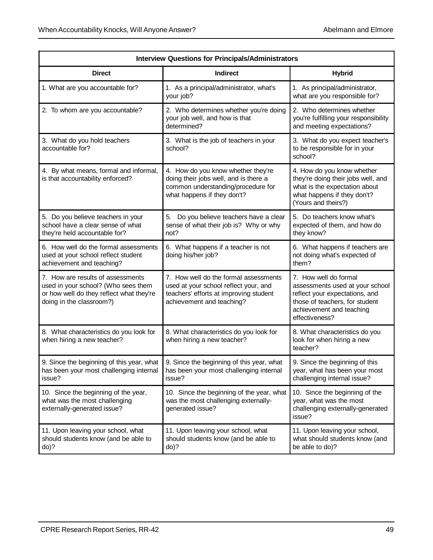| <b>Interview Questions for Principals/Administrators</b>                                                                                         |                                                                                                                                                       |                                                                                                                                                                            |  |  |
|--------------------------------------------------------------------------------------------------------------------------------------------------|-------------------------------------------------------------------------------------------------------------------------------------------------------|----------------------------------------------------------------------------------------------------------------------------------------------------------------------------|--|--|
| <b>Direct</b>                                                                                                                                    | <b>Indirect</b>                                                                                                                                       | <b>Hybrid</b>                                                                                                                                                              |  |  |
| 1. What are you accountable for?                                                                                                                 | 1. As a principal/administrator, what's<br>your job?                                                                                                  | 1. As principal/administrator,<br>what are you responsible for?                                                                                                            |  |  |
| 2. To whom are you accountable?                                                                                                                  | 2. Who determines whether you're doing<br>your job well, and how is that<br>determined?                                                               | 2. Who determines whether<br>you're fulfilling your responsibility<br>and meeting expectations?                                                                            |  |  |
| 3. What do you hold teachers<br>accountable for?                                                                                                 | 3. What is the job of teachers in your<br>school?                                                                                                     | 3. What do you expect teacher's<br>to be responsible for in your<br>school?                                                                                                |  |  |
| 4. By what means, formal and informal,<br>is that accountability enforced?                                                                       | 4. How do you know whether they're<br>doing their jobs well, and is there a<br>common understanding/procedure for<br>what happens if they don't?      | 4. How do you know whether<br>they're doing their jobs well, and<br>what is the expectation about<br>what happens if they don't?<br>(Yours and theirs?)                    |  |  |
| 5. Do you believe teachers in your<br>school have a clear sense of what<br>they're held accountable for?                                         | 5.<br>Do you believe teachers have a clear<br>sense of what their job is? Why or why<br>not?                                                          | 5. Do teachers know what's<br>expected of them, and how do<br>they know?                                                                                                   |  |  |
| 6. How well do the formal assessments<br>used at your school reflect student<br>achievement and teaching?                                        | 6. What happens if a teacher is not<br>doing his/her job?                                                                                             | 6. What happens if teachers are<br>not doing what's expected of<br>them?                                                                                                   |  |  |
| 7. How are results of assessments<br>used in your school? (Who sees them<br>or how well do they reflect what they're<br>doing in the classroom?) | 7. How well do the formal assessments<br>used at your school reflect your, and<br>teachers' efforts at improving student<br>achievement and teaching? | 7. How well do formal<br>assessments used at your school<br>reflect your expectations, and<br>those of teachers, for student<br>achievement and teaching<br>effectiveness? |  |  |
| 8. What characteristics do you look for<br>when hiring a new teacher?                                                                            | 8. What characteristics do you look for<br>when hiring a new teacher?                                                                                 | 8. What characteristics do you<br>look for when hiring a new<br>teacher?                                                                                                   |  |  |
| 9. Since the beginning of this year, what<br>has been your most challenging internal<br>issue?                                                   | 9. Since the beginning of this year, what<br>has been your most challenging internal<br>issue?                                                        | 9. Since the beginning of this<br>year, what has been your most<br>challenging internal issue?                                                                             |  |  |
| 10. Since the beginning of the year,<br>what was the most challenging<br>externally-generated issue?                                             | 10. Since the beginning of the year, what<br>was the most challenging externally-<br>generated issue?                                                 | 10. Since the beginning of the<br>year, what was the most<br>challenging externally-generated<br>issue?                                                                    |  |  |
| 11. Upon leaving your school, what<br>should students know (and be able to<br>$do$ ?                                                             | 11. Upon leaving your school, what<br>should students know (and be able to<br>do)?                                                                    | 11. Upon leaving your school,<br>what should students know (and<br>be able to do)?                                                                                         |  |  |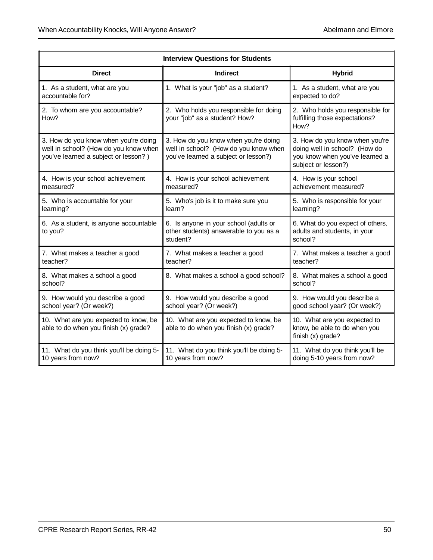| <b>Interview Questions for Students</b>                                                                               |                                                                                                                       |                                                                                                                          |  |  |
|-----------------------------------------------------------------------------------------------------------------------|-----------------------------------------------------------------------------------------------------------------------|--------------------------------------------------------------------------------------------------------------------------|--|--|
| <b>Direct</b>                                                                                                         | <b>Indirect</b>                                                                                                       | <b>Hybrid</b>                                                                                                            |  |  |
| 1. As a student, what are you<br>accountable for?                                                                     | 1. What is your "job" as a student?                                                                                   | 1. As a student, what are you<br>expected to do?                                                                         |  |  |
| 2. To whom are you accountable?<br>How?                                                                               | 2. Who holds you responsible for doing<br>your "job" as a student? How?                                               | 2. Who holds you responsible for<br>fulfilling those expectations?<br>How?                                               |  |  |
| 3. How do you know when you're doing<br>well in school? (How do you know when<br>you've learned a subject or lesson?) | 3. How do you know when you're doing<br>well in school? (How do you know when<br>you've learned a subject or lesson?) | 3. How do you know when you're<br>doing well in school? (How do<br>you know when you've learned a<br>subject or lesson?) |  |  |
| 4. How is your school achievement<br>measured?                                                                        | 4. How is your school achievement<br>measured?                                                                        | 4. How is your school<br>achievement measured?                                                                           |  |  |
| 5. Who is accountable for your<br>learning?                                                                           | 5. Who's job is it to make sure you<br>learn?                                                                         | 5. Who is responsible for your<br>learning?                                                                              |  |  |
| 6. As a student, is anyone accountable<br>to you?                                                                     | 6. Is anyone in your school (adults or<br>other students) answerable to you as a<br>student?                          | 6. What do you expect of others,<br>adults and students, in your<br>school?                                              |  |  |
| 7. What makes a teacher a good<br>teacher?                                                                            | 7. What makes a teacher a good<br>teacher?                                                                            | 7. What makes a teacher a good<br>teacher?                                                                               |  |  |
| 8. What makes a school a good<br>school?                                                                              | 8. What makes a school a good school?                                                                                 | 8. What makes a school a good<br>school?                                                                                 |  |  |
| 9. How would you describe a good<br>school year? (Or week?)                                                           | 9. How would you describe a good<br>school year? (Or week?)                                                           | 9. How would you describe a<br>good school year? (Or week?)                                                              |  |  |
| 10. What are you expected to know, be<br>able to do when you finish (x) grade?                                        | 10. What are you expected to know, be<br>able to do when you finish (x) grade?                                        | 10. What are you expected to<br>know, be able to do when you<br>finish (x) grade?                                        |  |  |
| 11. What do you think you'll be doing 5-<br>10 years from now?                                                        | 11. What do you think you'll be doing 5-<br>10 years from now?                                                        | 11. What do you think you'll be<br>doing 5-10 years from now?                                                            |  |  |